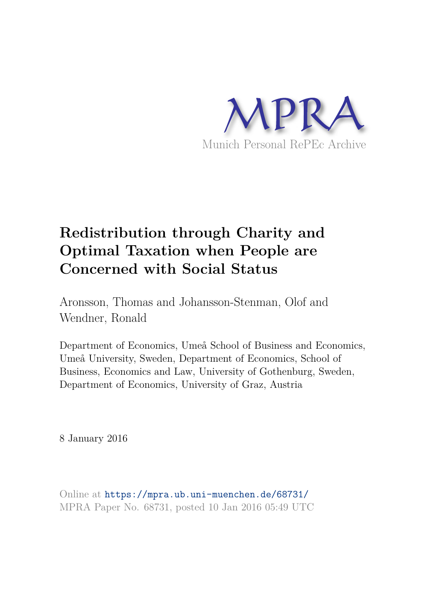

# **Redistribution through Charity and Optimal Taxation when People are Concerned with Social Status**

Aronsson, Thomas and Johansson-Stenman, Olof and Wendner, Ronald

Department of Economics, Umeå School of Business and Economics, Umeå University, Sweden, Department of Economics, School of Business, Economics and Law, University of Gothenburg, Sweden, Department of Economics, University of Graz, Austria

8 January 2016

Online at https://mpra.ub.uni-muenchen.de/68731/ MPRA Paper No. 68731, posted 10 Jan 2016 05:49 UTC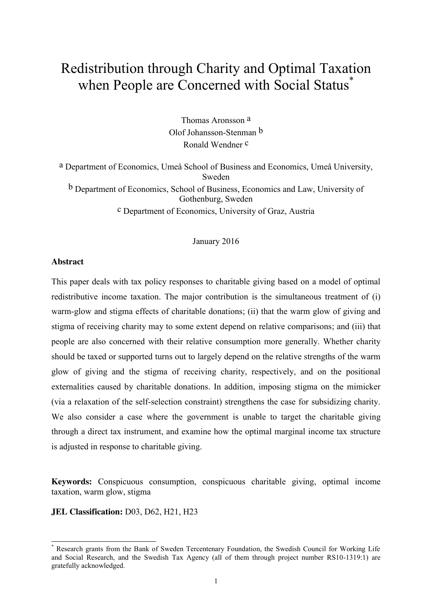## Redistribution through Charity and Optimal Taxation when People are Concerned with Social Status<sup>\*</sup>

Thomas Aronsson a Olof Johansson-Stenman b Ronald Wendner c

a Department of Economics, Umeå School of Business and Economics, Umeå University, Sweden b Department of Economics, School of Business, Economics and Law, University of Gothenburg, Sweden

c Department of Economics, University of Graz, Austria

#### January 2016

## **Abstract**

j

This paper deals with tax policy responses to charitable giving based on a model of optimal redistributive income taxation. The major contribution is the simultaneous treatment of (i) warm-glow and stigma effects of charitable donations; (ii) that the warm glow of giving and stigma of receiving charity may to some extent depend on relative comparisons; and (iii) that people are also concerned with their relative consumption more generally. Whether charity should be taxed or supported turns out to largely depend on the relative strengths of the warm glow of giving and the stigma of receiving charity, respectively, and on the positional externalities caused by charitable donations. In addition, imposing stigma on the mimicker (via a relaxation of the self-selection constraint) strengthens the case for subsidizing charity. We also consider a case where the government is unable to target the charitable giving through a direct tax instrument, and examine how the optimal marginal income tax structure is adjusted in response to charitable giving.

**Keywords:** Conspicuous consumption, conspicuous charitable giving, optimal income taxation, warm glow, stigma

**JEL Classification:** D03, D62, H21, H23

<sup>\*</sup> Research grants from the Bank of Sweden Tercentenary Foundation, the Swedish Council for Working Life and Social Research, and the Swedish Tax Agency (all of them through project number RS10-1319:1) are gratefully acknowledged.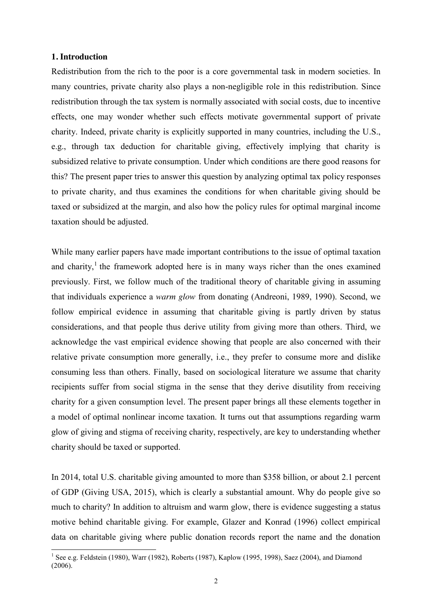## **1. Introduction**

Redistribution from the rich to the poor is a core governmental task in modern societies. In many countries, private charity also plays a non-negligible role in this redistribution. Since redistribution through the tax system is normally associated with social costs, due to incentive effects, one may wonder whether such effects motivate governmental support of private charity. Indeed, private charity is explicitly supported in many countries, including the U.S., e.g., through tax deduction for charitable giving, effectively implying that charity is subsidized relative to private consumption. Under which conditions are there good reasons for this? The present paper tries to answer this question by analyzing optimal tax policy responses to private charity, and thus examines the conditions for when charitable giving should be taxed or subsidized at the margin, and also how the policy rules for optimal marginal income taxation should be adjusted.

While many earlier papers have made important contributions to the issue of optimal taxation and charity,<sup>1</sup> the framework adopted here is in many ways richer than the ones examined previously. First, we follow much of the traditional theory of charitable giving in assuming that individuals experience a *warm glow* from donating (Andreoni, 1989, 1990). Second, we follow empirical evidence in assuming that charitable giving is partly driven by status considerations, and that people thus derive utility from giving more than others. Third, we acknowledge the vast empirical evidence showing that people are also concerned with their relative private consumption more generally, i.e., they prefer to consume more and dislike consuming less than others. Finally, based on sociological literature we assume that charity recipients suffer from social stigma in the sense that they derive disutility from receiving charity for a given consumption level. The present paper brings all these elements together in a model of optimal nonlinear income taxation. It turns out that assumptions regarding warm glow of giving and stigma of receiving charity, respectively, are key to understanding whether charity should be taxed or supported.

In 2014, total U.S. charitable giving amounted to more than \$358 billion, or about 2.1 percent of GDP (Giving USA, 2015), which is clearly a substantial amount. Why do people give so much to charity? In addition to altruism and warm glow, there is evidence suggesting a status motive behind charitable giving. For example, Glazer and Konrad (1996) collect empirical data on charitable giving where public donation records report the name and the donation

<sup>&</sup>lt;sup>1</sup> See e.g. Feldstein (1980), Warr (1982), Roberts (1987), Kaplow (1995, 1998), Saez (2004), and Diamond (2006).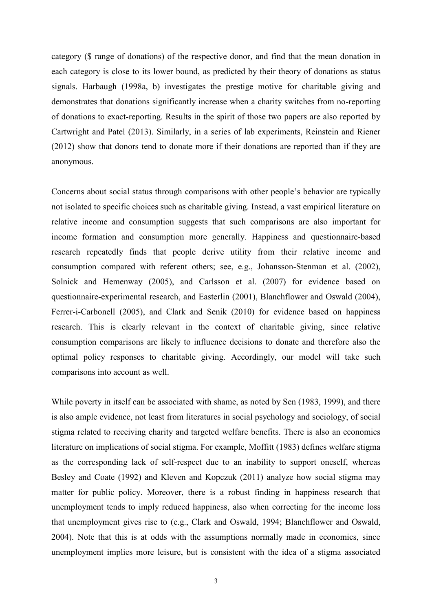category (\$ range of donations) of the respective donor, and find that the mean donation in each category is close to its lower bound, as predicted by their theory of donations as status signals. Harbaugh (1998a, b) investigates the prestige motive for charitable giving and demonstrates that donations significantly increase when a charity switches from no-reporting of donations to exact-reporting. Results in the spirit of those two papers are also reported by Cartwright and Patel (2013). Similarly, in a series of lab experiments, Reinstein and Riener (2012) show that donors tend to donate more if their donations are reported than if they are anonymous.

Concerns about social status through comparisons with other people's behavior are typically not isolated to specific choices such as charitable giving. Instead, a vast empirical literature on relative income and consumption suggests that such comparisons are also important for income formation and consumption more generally. Happiness and questionnaire-based research repeatedly finds that people derive utility from their relative income and consumption compared with referent others; see, e.g., Johansson-Stenman et al. (2002), Solnick and Hemenway (2005), and Carlsson et al. (2007) for evidence based on questionnaire-experimental research, and Easterlin (2001), Blanchflower and Oswald (2004), Ferrer-i-Carbonell (2005), and Clark and Senik (2010) for evidence based on happiness research. This is clearly relevant in the context of charitable giving, since relative consumption comparisons are likely to influence decisions to donate and therefore also the optimal policy responses to charitable giving. Accordingly, our model will take such comparisons into account as well.

While poverty in itself can be associated with shame, as noted by Sen (1983, 1999), and there is also ample evidence, not least from literatures in social psychology and sociology, of social stigma related to receiving charity and targeted welfare benefits. There is also an economics literature on implications of social stigma. For example, Moffitt (1983) defines welfare stigma as the corresponding lack of self-respect due to an inability to support oneself, whereas Besley and Coate (1992) and Kleven and Kopczuk (2011) analyze how social stigma may matter for public policy. Moreover, there is a robust finding in happiness research that unemployment tends to imply reduced happiness, also when correcting for the income loss that unemployment gives rise to (e.g., Clark and Oswald, 1994; Blanchflower and Oswald, 2004). Note that this is at odds with the assumptions normally made in economics, since unemployment implies more leisure, but is consistent with the idea of a stigma associated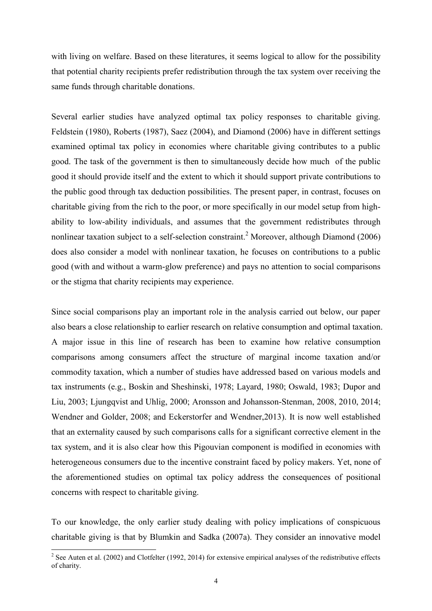with living on welfare. Based on these literatures, it seems logical to allow for the possibility that potential charity recipients prefer redistribution through the tax system over receiving the same funds through charitable donations.

Several earlier studies have analyzed optimal tax policy responses to charitable giving. Feldstein (1980), Roberts (1987), Saez (2004), and Diamond (2006) have in different settings examined optimal tax policy in economies where charitable giving contributes to a public good. The task of the government is then to simultaneously decide how much of the public good it should provide itself and the extent to which it should support private contributions to the public good through tax deduction possibilities. The present paper, in contrast, focuses on charitable giving from the rich to the poor, or more specifically in our model setup from highability to low-ability individuals, and assumes that the government redistributes through nonlinear taxation subject to a self-selection constraint.<sup>2</sup> Moreover, although Diamond (2006) does also consider a model with nonlinear taxation, he focuses on contributions to a public good (with and without a warm-glow preference) and pays no attention to social comparisons or the stigma that charity recipients may experience.

Since social comparisons play an important role in the analysis carried out below, our paper also bears a close relationship to earlier research on relative consumption and optimal taxation. A major issue in this line of research has been to examine how relative consumption comparisons among consumers affect the structure of marginal income taxation and/or commodity taxation, which a number of studies have addressed based on various models and tax instruments (e.g., Boskin and Sheshinski, 1978; Layard, 1980; Oswald, 1983; Dupor and Liu, 2003; Ljungqvist and Uhlig, 2000; Aronsson and Johansson-Stenman, 2008, 2010, 2014; Wendner and Golder, 2008; and Eckerstorfer and Wendner,2013). It is now well established that an externality caused by such comparisons calls for a significant corrective element in the tax system, and it is also clear how this Pigouvian component is modified in economies with heterogeneous consumers due to the incentive constraint faced by policy makers. Yet, none of the aforementioned studies on optimal tax policy address the consequences of positional concerns with respect to charitable giving.

To our knowledge, the only earlier study dealing with policy implications of conspicuous charitable giving is that by Blumkin and Sadka (2007a). They consider an innovative model

<sup>&</sup>lt;sup>2</sup> See Auten et al. (2002) and Clotfelter (1992, 2014) for extensive empirical analyses of the redistributive effects of charity.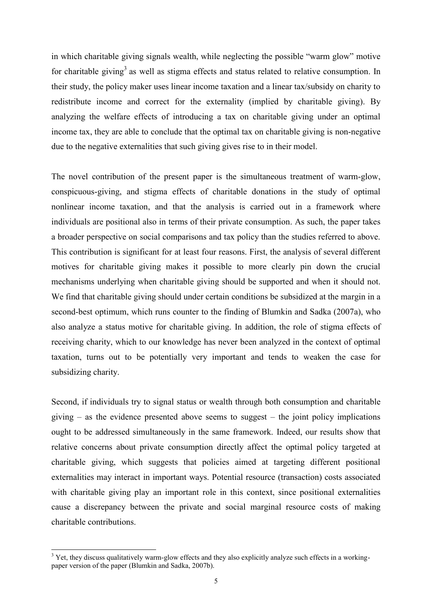in which charitable giving signals wealth, while neglecting the possible "warm glow" motive for charitable giving<sup>3</sup> as well as stigma effects and status related to relative consumption. In their study, the policy maker uses linear income taxation and a linear tax/subsidy on charity to redistribute income and correct for the externality (implied by charitable giving). By analyzing the welfare effects of introducing a tax on charitable giving under an optimal income tax, they are able to conclude that the optimal tax on charitable giving is non-negative due to the negative externalities that such giving gives rise to in their model.

The novel contribution of the present paper is the simultaneous treatment of warm-glow, conspicuous-giving, and stigma effects of charitable donations in the study of optimal nonlinear income taxation, and that the analysis is carried out in a framework where individuals are positional also in terms of their private consumption. As such, the paper takes a broader perspective on social comparisons and tax policy than the studies referred to above. This contribution is significant for at least four reasons. First, the analysis of several different motives for charitable giving makes it possible to more clearly pin down the crucial mechanisms underlying when charitable giving should be supported and when it should not. We find that charitable giving should under certain conditions be subsidized at the margin in a second-best optimum, which runs counter to the finding of Blumkin and Sadka (2007a), who also analyze a status motive for charitable giving. In addition, the role of stigma effects of receiving charity, which to our knowledge has never been analyzed in the context of optimal taxation, turns out to be potentially very important and tends to weaken the case for subsidizing charity.

Second, if individuals try to signal status or wealth through both consumption and charitable giving  $-$  as the evidence presented above seems to suggest  $-$  the joint policy implications ought to be addressed simultaneously in the same framework. Indeed, our results show that relative concerns about private consumption directly affect the optimal policy targeted at charitable giving, which suggests that policies aimed at targeting different positional externalities may interact in important ways. Potential resource (transaction) costs associated with charitable giving play an important role in this context, since positional externalities cause a discrepancy between the private and social marginal resource costs of making charitable contributions.

<sup>&</sup>lt;sup>3</sup> Yet, they discuss qualitatively warm-glow effects and they also explicitly analyze such effects in a workingpaper version of the paper (Blumkin and Sadka, 2007b).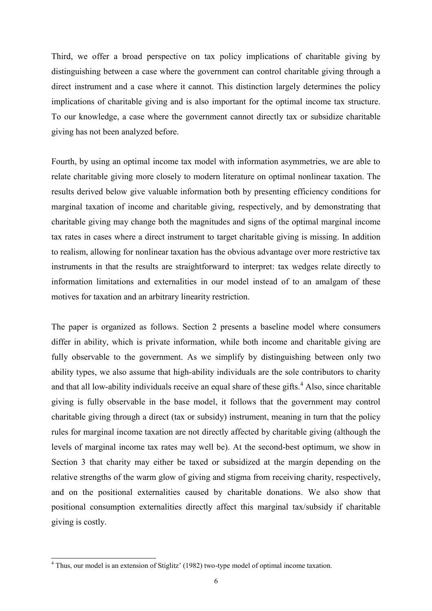Third, we offer a broad perspective on tax policy implications of charitable giving by distinguishing between a case where the government can control charitable giving through a direct instrument and a case where it cannot. This distinction largely determines the policy implications of charitable giving and is also important for the optimal income tax structure. To our knowledge, a case where the government cannot directly tax or subsidize charitable giving has not been analyzed before.

Fourth, by using an optimal income tax model with information asymmetries, we are able to relate charitable giving more closely to modern literature on optimal nonlinear taxation. The results derived below give valuable information both by presenting efficiency conditions for marginal taxation of income and charitable giving, respectively, and by demonstrating that charitable giving may change both the magnitudes and signs of the optimal marginal income tax rates in cases where a direct instrument to target charitable giving is missing. In addition to realism, allowing for nonlinear taxation has the obvious advantage over more restrictive tax instruments in that the results are straightforward to interpret: tax wedges relate directly to information limitations and externalities in our model instead of to an amalgam of these motives for taxation and an arbitrary linearity restriction.

The paper is organized as follows. Section 2 presents a baseline model where consumers differ in ability, which is private information, while both income and charitable giving are fully observable to the government. As we simplify by distinguishing between only two ability types, we also assume that high-ability individuals are the sole contributors to charity and that all low-ability individuals receive an equal share of these gifts.<sup>4</sup> Also, since charitable giving is fully observable in the base model, it follows that the government may control charitable giving through a direct (tax or subsidy) instrument, meaning in turn that the policy rules for marginal income taxation are not directly affected by charitable giving (although the levels of marginal income tax rates may well be). At the second-best optimum, we show in Section 3 that charity may either be taxed or subsidized at the margin depending on the relative strengths of the warm glow of giving and stigma from receiving charity, respectively, and on the positional externalities caused by charitable donations. We also show that positional consumption externalities directly affect this marginal tax/subsidy if charitable giving is costly.

-

<sup>&</sup>lt;sup>4</sup> Thus, our model is an extension of Stiglitz' (1982) two-type model of optimal income taxation.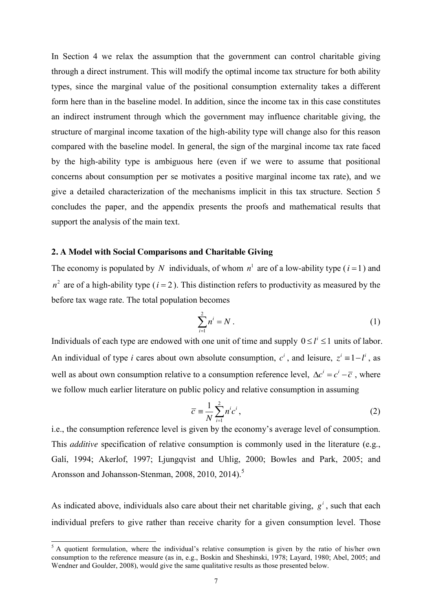In Section 4 we relax the assumption that the government can control charitable giving through a direct instrument. This will modify the optimal income tax structure for both ability types, since the marginal value of the positional consumption externality takes a different form here than in the baseline model. In addition, since the income tax in this case constitutes an indirect instrument through which the government may influence charitable giving, the structure of marginal income taxation of the high-ability type will change also for this reason compared with the baseline model. In general, the sign of the marginal income tax rate faced by the high-ability type is ambiguous here (even if we were to assume that positional concerns about consumption per se motivates a positive marginal income tax rate), and we give a detailed characterization of the mechanisms implicit in this tax structure. Section 5 concludes the paper, and the appendix presents the proofs and mathematical results that support the analysis of the main text.

## **2. A Model with Social Comparisons and Charitable Giving**

The economy is populated by N individuals, of whom  $n<sup>1</sup>$  are of a low-ability type ( $i = 1$ ) and  $n^2$  are of a high-ability type ( $i = 2$ ). This distinction refers to productivity as measured by the before tax wage rate. The total population becomes

$$
\sum_{i=1}^{2} n^i = N \tag{1}
$$

Individuals of each type are endowed with one unit of time and supply  $0 \le l^i \le 1$  units of labor. An individual of type *i* cares about own absolute consumption,  $c^i$ , and leisure,  $z^i \equiv 1 - l^i$ , as well as about own consumption relative to a consumption reference level,  $\Delta c^{i} = c^{i} - \overline{c}$ , where we follow much earlier literature on public policy and relative consumption in assuming

$$
\overline{c} \equiv \frac{1}{N} \sum_{i=1}^{2} n^{i} c^{i},\qquad(2)
$$

i.e., the consumption reference level is given by the economy's average level of consumption. This *additive* specification of relative consumption is commonly used in the literature (e.g., Galí, 1994; Akerlof, 1997; Ljungqvist and Uhlig, 2000; Bowles and Park, 2005; and Aronsson and Johansson-Stenman,  $2008$ ,  $2010$ ,  $2014$ ).<sup>5</sup>

As indicated above, individuals also care about their net charitable giving,  $g^i$ , such that each individual prefers to give rather than receive charity for a given consumption level. Those

j

 $5$  A quotient formulation, where the individual's relative consumption is given by the ratio of his/her own consumption to the reference measure (as in, e.g., Boskin and Sheshinski, 1978; Layard, 1980; Abel, 2005; and Wendner and Goulder, 2008), would give the same qualitative results as those presented below.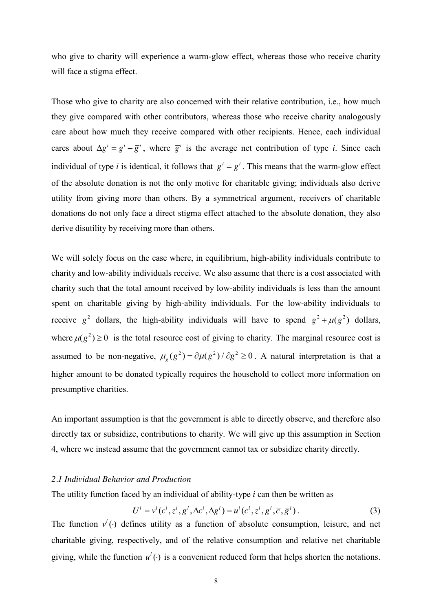who give to charity will experience a warm-glow effect, whereas those who receive charity will face a stigma effect.

Those who give to charity are also concerned with their relative contribution, i.e., how much they give compared with other contributors, whereas those who receive charity analogously care about how much they receive compared with other recipients. Hence, each individual cares about  $\Delta g^i = g^i - \overline{g}^i$ , where  $\overline{g}^i$  is the average net contribution of type *i*. Since each individual of type *i* is identical, it follows that  $\overline{g}^i = g^i$ . This means that the warm-glow effect of the absolute donation is not the only motive for charitable giving; individuals also derive utility from giving more than others. By a symmetrical argument, receivers of charitable donations do not only face a direct stigma effect attached to the absolute donation, they also derive disutility by receiving more than others.

We will solely focus on the case where, in equilibrium, high-ability individuals contribute to charity and low-ability individuals receive. We also assume that there is a cost associated with charity such that the total amount received by low-ability individuals is less than the amount spent on charitable giving by high-ability individuals. For the low-ability individuals to receive  $g^2$  dollars, the high-ability individuals will have to spend  $g^2 + \mu(g^2)$  dollars, where  $\mu(g^2) \ge 0$  is the total resource cost of giving to charity. The marginal resource cost is assumed to be non-negative,  $\mu_g(g^2) = \partial \mu(g^2) / \partial g^2 \ge 0$ . A natural interpretation is that a higher amount to be donated typically requires the household to collect more information on presumptive charities.

An important assumption is that the government is able to directly observe, and therefore also directly tax or subsidize, contributions to charity. We will give up this assumption in Section 4, where we instead assume that the government cannot tax or subsidize charity directly.

#### *2.1 Individual Behavior and Production*

The utility function faced by an individual of ability-type *i* can then be written as

$$
U^{i} = v^{i}(c^{i}, z^{i}, g^{i}, \Delta c^{i}, \Delta g^{i}) = u^{i}(c^{i}, z^{i}, g^{i}, \overline{c}, \overline{g}^{i}).
$$
\n(3)

The function  $v^i(\cdot)$  defines utility as a function of absolute consumption, leisure, and net charitable giving, respectively, and of the relative consumption and relative net charitable giving, while the function  $u^i(\cdot)$  is a convenient reduced form that helps shorten the notations.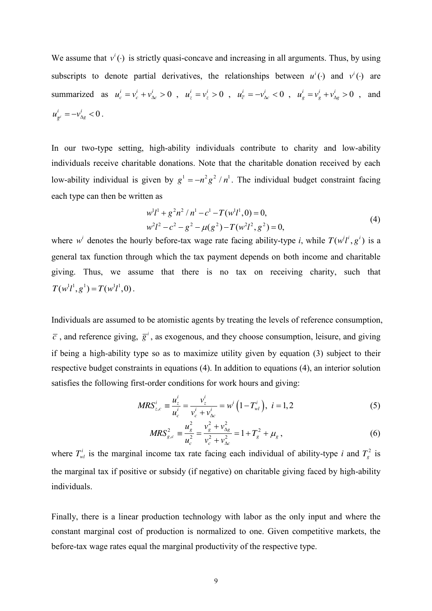We assume that  $v^i(\cdot)$  is strictly quasi-concave and increasing in all arguments. Thus, by using subscripts to denote partial derivatives, the relationships between  $u^i(\cdot)$  and  $v^i(\cdot)$  are summarized as  $u_c^i = v_c^i + v_{\Delta c}^i > 0$  $u_c^i = v_c^i + v_{\Delta c}^i > 0$ ,  $u_z^i = v_z^i > 0$  $u_z^i = v_z^i > 0$ ,  $u_{\overline{c}}^i = -v_{\Delta c}^i < 0$  $u_{\overline{c}}^i = -v_{\Delta c}^i < 0$ ,  $u_g^i = v_g^i + v_{\Delta g}^i > 0$  $u_g^i = v_g^i + v_{\Delta g}^i > 0$ , and  $\frac{i}{\bar{\sigma}^i} = - \nu_{\Delta g}^i < 0$  $u_{\bar{g}^i}^i = -v_{\Delta g}^i < 0$ .

In our two-type setting, high-ability individuals contribute to charity and low-ability individuals receive charitable donations. Note that the charitable donation received by each low-ability individual is given by  $g^1 = -n^2 g^2 / n^1$ . The individual budget constraint facing each type can then be written as

$$
w^{1}l^{1} + g^{2}n^{2}/n^{1} - c^{1} - T(w^{1}l^{1}, 0) = 0,
$$
  
\n
$$
w^{2}l^{2} - c^{2} - g^{2} - \mu(g^{2}) - T(w^{2}l^{2}, g^{2}) = 0,
$$
\n(4)

where  $w^i$  denotes the hourly before-tax wage rate facing ability-type *i*, while  $T(w^i i^i, g^i)$  is a general tax function through which the tax payment depends on both income and charitable giving. Thus, we assume that there is no tax on receiving charity, such that  $T(w^{1}l^{1}, g^{1}) = T(w^{1}l^{1}, 0)$ .

Individuals are assumed to be atomistic agents by treating the levels of reference consumption,  $\bar{c}$ , and reference giving,  $\bar{g}^i$ , as exogenous, and they choose consumption, leisure, and giving if being a high-ability type so as to maximize utility given by equation (3) subject to their respective budget constraints in equations (4). In addition to equations (4), an interior solution satisfies the following first-order conditions for work hours and giving:

$$
MRS_{z,c}^{i} \equiv \frac{u_{z}^{i}}{u_{c}^{i}} = \frac{v_{z}^{i}}{v_{c}^{i} + v_{\Delta c}^{i}} = w^{i} (1 - T_{wl}^{i}), i = 1, 2
$$
 (5)

$$
MRS_{g,c}^2 = \frac{u_g^2}{u_c^2} = \frac{v_g^2 + v_{\Delta g}^2}{v_c^2 + v_{\Delta c}^2} = 1 + T_g^2 + \mu_g,
$$
\n(6)

where  $T_{wl}^i$  is the marginal income tax rate facing each individual of ability-type *i* and  $T_g^2$  is the marginal tax if positive or subsidy (if negative) on charitable giving faced by high-ability individuals.

Finally, there is a linear production technology with labor as the only input and where the constant marginal cost of production is normalized to one. Given competitive markets, the before-tax wage rates equal the marginal productivity of the respective type.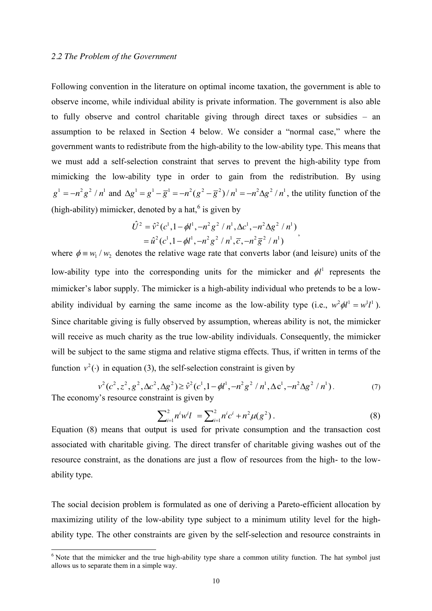#### *2.2 The Problem of the Government*

Following convention in the literature on optimal income taxation, the government is able to observe income, while individual ability is private information. The government is also able to fully observe and control charitable giving through direct taxes or subsidies – an assumption to be relaxed in Section 4 below. We consider a "normal case," where the government wants to redistribute from the high-ability to the low-ability type. This means that we must add a self-selection constraint that serves to prevent the high-ability type from mimicking the low-ability type in order to gain from the redistribution. By using  $g^{1} = -n^{2} g^{2} / n^{1}$  and  $\Delta g^{1} = g^{1} - \overline{g}^{1} = -n^{2} (g^{2} - \overline{g}^{2}) / n^{1} = -n^{2} \Delta g^{2} / n^{1}$ , the utility function of the (high-ability) mimicker, denoted by a hat, $<sup>6</sup>$  is given by</sup>

$$
\hat{U}^2 = \hat{v}^2 (c^1, 1 - \phi l^1, -n^2 g^2 / n^1, \Delta c^1, -n^2 \Delta g^2 / n^1) \n= \hat{u}^2 (c^1, 1 - \phi l^1, -n^2 g^2 / n^1, \overline{c}, -n^2 \overline{g}^2 / n^1)
$$

where  $\phi = w_1 / w_2$  denotes the relative wage rate that converts labor (and leisure) units of the low-ability type into the corresponding units for the mimicker and  $\phi l^1$  represents the mimicker's labor supply. The mimicker is a high-ability individual who pretends to be a lowability individual by earning the same income as the low-ability type (i.e.,  $w^2 \phi l^1 = w^1 l^1$ ). Since charitable giving is fully observed by assumption, whereas ability is not, the mimicker will receive as much charity as the true low-ability individuals. Consequently, the mimicker will be subject to the same stigma and relative stigma effects. Thus, if written in terms of the function  $v^2(\cdot)$  in equation (3), the self-selection constraint is given by

$$
v^2(c^2, z^2, g^2, \Delta c^2, \Delta g^2) \ge \hat{v}^2(c^1, 1 - \phi l^1, -n^2 g^2 / n^1, \Delta c^1, -n^2 \Delta g^2 / n^1).
$$
\nThe economy's resource constraint is given by

\n(7)

$$
\sum_{i=1}^{2} n^i w^i l = \sum_{i=1}^{2} n^i c^i + n^2 \mu(g^2).
$$
 (8)

Equation (8) means that output is used for private consumption and the transaction cost associated with charitable giving. The direct transfer of charitable giving washes out of the resource constraint, as the donations are just a flow of resources from the high- to the lowability type.

The social decision problem is formulated as one of deriving a Pareto-efficient allocation by maximizing utility of the low-ability type subject to a minimum utility level for the highability type. The other constraints are given by the self-selection and resource constraints in

<sup>&</sup>lt;sup>6</sup> Note that the mimicker and the true high-ability type share a common utility function. The hat symbol just allows us to separate them in a simple way.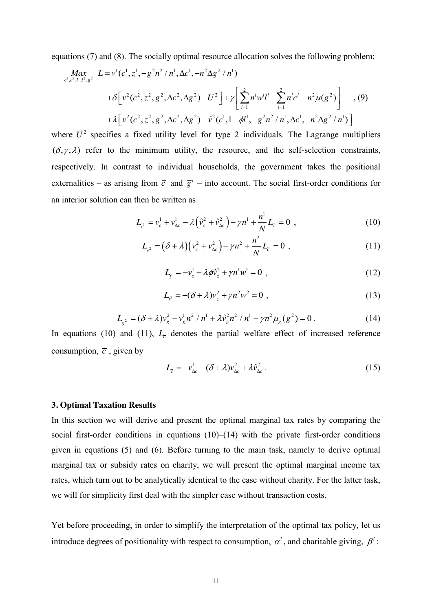equations (7) and (8). The socially optimal resource allocation solves the following problem:

$$
\begin{split} \n\lim_{c^1, c^2, l^1, l^2, g^2} \ L &= v^1(c^1, z^1, -g^2n^2/n^1, \Delta c^1, -n^2\Delta g^2/n^1) \\ \n&+ \delta \Big[ v^2(c^2, z^2, g^2, \Delta c^2, \Delta g^2) - \bar{U}^2 \Big] + \gamma \Big[ \sum_{i=1}^2 n^i w^i l^i - \sum_{i=1}^2 n^i c^i - n^2 \mu(g^2) \Big] \\ \n&+ \lambda \Big[ v^2(c^2, z^2, g^2, \Delta c^2, \Delta g^2) - \hat{v}^2(c^1, 1 - \phi l^1, -g^2n^2/n^1, \Delta c^1, -n^2\Delta g^2/n^1) \Big] \n\end{split} \tag{9}
$$

where  $\bar{U}^2$  specifies a fixed utility level for type 2 individuals. The Lagrange multipliers  $(\delta, \gamma, \lambda)$  refer to the minimum utility, the resource, and the self-selection constraints, respectively. In contrast to individual households, the government takes the positional externalities – as arising from  $\bar{c}$  and  $\bar{g}^i$  – into account. The social first-order conditions for an interior solution can then be written as

$$
L_{c^{1}} = v_{c}^{1} + v_{\Delta c}^{1} - \lambda \left(\hat{v}_{c}^{2} + \hat{v}_{\Delta c}^{2}\right) - \gamma n^{1} + \frac{n^{1}}{N} L_{\bar{c}} = 0,
$$
 (10)

$$
L_{c^2} = (\delta + \lambda) (v_c^2 + v_{\alpha c}^2) - \gamma n^2 + \frac{n^2}{N} L_{\bar{c}} = 0 , \qquad (11)
$$

$$
L_{\mu} = -v_{z}^{1} + \lambda \phi \hat{v}_{z}^{2} + \gamma n^{1} w^{1} = 0 , \qquad (12)
$$

$$
L_{\hat{l}^2} = -(\delta + \lambda)v_z^2 + \gamma n^2 w^2 = 0 \tag{13}
$$

$$
L_{g^2} = (\delta + \lambda)v_g^2 - v_g^1 n^2 / n^1 + \lambda \hat{v}_g^2 n^2 / n^1 - \gamma n^2 \mu_g(g^2) = 0.
$$
 (14)

In equations (10) and (11),  $L<sub>\tau</sub>$  denotes the partial welfare effect of increased reference consumption,  $\overline{c}$ , given by

$$
L_{\overline{c}} = -v_{\Delta c}^1 - (\delta + \lambda)v_{\Delta c}^2 + \lambda \hat{v}_{\Delta c}^2.
$$
 (15)

#### **3. Optimal Taxation Results**

In this section we will derive and present the optimal marginal tax rates by comparing the social first-order conditions in equations  $(10)$ – $(14)$  with the private first-order conditions given in equations (5) and (6). Before turning to the main task, namely to derive optimal marginal tax or subsidy rates on charity, we will present the optimal marginal income tax rates, which turn out to be analytically identical to the case without charity. For the latter task, we will for simplicity first deal with the simpler case without transaction costs*.* 

Yet before proceeding, in order to simplify the interpretation of the optimal tax policy, let us introduce degrees of positionality with respect to consumption,  $\alpha^i$ , and charitable giving,  $\beta^i$ :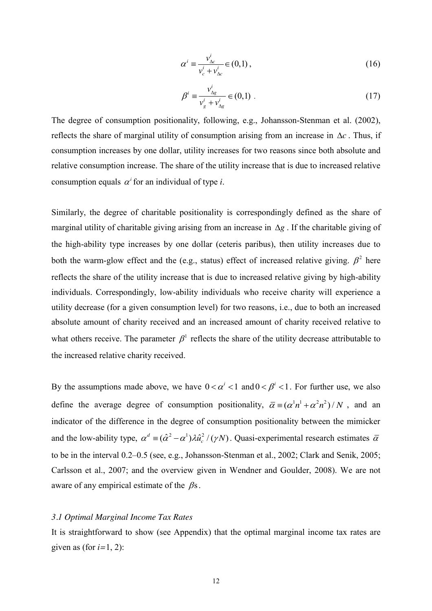$$
\alpha^i \equiv \frac{v_{\Delta c}^i}{v_c^i + v_{\Delta c}^i} \in (0,1),\tag{16}
$$

$$
\beta^i = \frac{v_{\Delta g}^i}{v_g^i + v_{\Delta g}^i} \in (0,1) \tag{17}
$$

The degree of consumption positionality, following, e.g., Johansson-Stenman et al. (2002), reflects the share of marginal utility of consumption arising from an increase in  $\Delta c$ . Thus, if consumption increases by one dollar, utility increases for two reasons since both absolute and relative consumption increase. The share of the utility increase that is due to increased relative consumption equals  $\alpha^i$  for an individual of type *i*.

Similarly, the degree of charitable positionality is correspondingly defined as the share of marginal utility of charitable giving arising from an increase in  $\Delta g$ . If the charitable giving of the high-ability type increases by one dollar (ceteris paribus), then utility increases due to both the warm-glow effect and the (e.g., status) effect of increased relative giving.  $\beta^2$  here reflects the share of the utility increase that is due to increased relative giving by high-ability individuals. Correspondingly, low-ability individuals who receive charity will experience a utility decrease (for a given consumption level) for two reasons, i.e., due to both an increased absolute amount of charity received and an increased amount of charity received relative to what others receive. The parameter  $\beta^1$  reflects the share of the utility decrease attributable to the increased relative charity received.

By the assumptions made above, we have  $0 < \alpha^i < 1$  and  $0 < \beta^i < 1$ . For further use, we also define the average degree of consumption positionality,  $\overline{\alpha} = (\alpha^1 n^1 + \alpha^2 n^2) / N$ , and an indicator of the difference in the degree of consumption positionality between the mimicker and the low-ability type,  $\alpha^d = (\hat{\alpha}^2 - \alpha^1)\lambda \hat{u}_c^2/(\gamma N)$ . Quasi-experimental research estimates  $\bar{\alpha}$ to be in the interval 0.2–0.5 (see, e.g., Johansson-Stenman et al., 2002; Clark and Senik, 2005; Carlsson et al., 2007; and the overview given in Wendner and Goulder, 2008). We are not aware of any empirical estimate of the  $\beta$ s.

## *3.1 Optimal Marginal Income Tax Rates*

It is straightforward to show (see Appendix) that the optimal marginal income tax rates are given as (for  $i=1, 2$ ):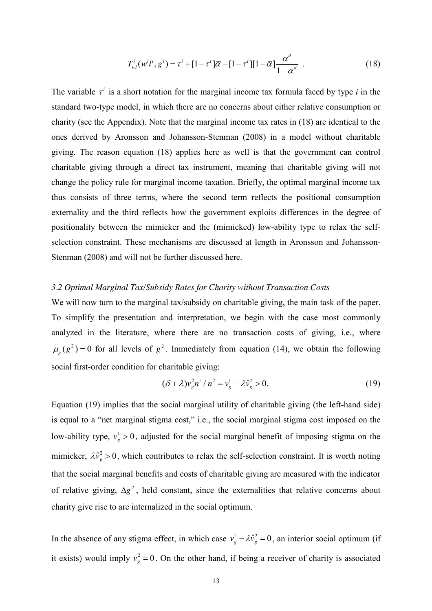$$
T_{wl}^i(w^i l^i, g^i) = \tau^i + [1 - \tau^i] \overline{\alpha} - [1 - \tau^i][1 - \overline{\alpha}] \frac{\alpha^d}{1 - \alpha^d} \tag{18}
$$

The variable  $\tau^i$  is a short notation for the marginal income tax formula faced by type *i* in the standard two-type model, in which there are no concerns about either relative consumption or charity (see the Appendix). Note that the marginal income tax rates in (18) are identical to the ones derived by Aronsson and Johansson-Stenman (2008) in a model without charitable giving. The reason equation (18) applies here as well is that the government can control charitable giving through a direct tax instrument, meaning that charitable giving will not change the policy rule for marginal income taxation. Briefly, the optimal marginal income tax thus consists of three terms, where the second term reflects the positional consumption externality and the third reflects how the government exploits differences in the degree of positionality between the mimicker and the (mimicked) low-ability type to relax the selfselection constraint. These mechanisms are discussed at length in Aronsson and Johansson-Stenman (2008) and will not be further discussed here.

#### *3.2 Optimal Marginal Tax/Subsidy Rates for Charity without Transaction Costs*

We will now turn to the marginal tax/subsidy on charitable giving, the main task of the paper. To simplify the presentation and interpretation, we begin with the case most commonly analyzed in the literature, where there are no transaction costs of giving, i.e., where  $\mu_{g}(g^{2}) = 0$  for all levels of  $g^{2}$ . Immediately from equation (14), we obtain the following social first-order condition for charitable giving:

$$
(\delta + \lambda)v_g^2 n^1 / n^2 = v_g^1 - \lambda \hat{v}_g^2 > 0.
$$
 (19)

Equation (19) implies that the social marginal utility of charitable giving (the left-hand side) is equal to a "net marginal stigma cost," i.e., the social marginal stigma cost imposed on the low-ability type,  $v_g^1 > 0$ , adjusted for the social marginal benefit of imposing stigma on the mimicker,  $\lambda \hat{v}_g^2 > 0$ , which contributes to relax the self-selection constraint. It is worth noting that the social marginal benefits and costs of charitable giving are measured with the indicator of relative giving,  $\Delta g^2$ , held constant, since the externalities that relative concerns about charity give rise to are internalized in the social optimum.

In the absence of any stigma effect, in which case  $v_g^1 - \lambda \hat{v}_g^2 = 0$ , an interior social optimum (if it exists) would imply  $v_g^2 = 0$ . On the other hand, if being a receiver of charity is associated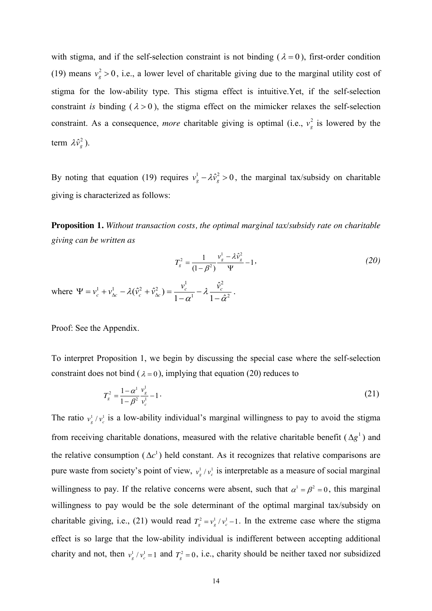with stigma, and if the self-selection constraint is not binding ( $\lambda = 0$ ), first-order condition (19) means  $v_g^2 > 0$ , i.e., a lower level of charitable giving due to the marginal utility cost of stigma for the low-ability type. This stigma effect is intuitive.Yet, if the self-selection constraint *is* binding  $(\lambda > 0)$ , the stigma effect on the mimicker relaxes the self-selection constraint. As a consequence, *more* charitable giving is optimal (i.e.,  $v_g^2$  is lowered by the term  $\lambda \hat{v}_g^2$  ).

By noting that equation (19) requires  $v_g^1 - \lambda \hat{v}_g^2 > 0$ , the marginal tax/subsidy on charitable giving is characterized as follows:

**Proposition 1.** *Without transaction costs, the optimal marginal tax/subsidy rate on charitable giving can be written as* 

$$
T_g^2 = \frac{1}{(1 - \beta^2)} \frac{v_g^1 - \lambda \hat{v}_g^2}{\Psi} - 1,
$$
\n(20)

where  $\hat{v}^2$  $1 + y^1$   $2(y^2 + y^2)$ <sup>1</sup>  $\hat{\alpha}^2$  $\hat{\nu}$  $\bigl( \hat{\mathcal{V}}_c^2 + \hat{\mathcal{V}}_{\Delta c}^2 \bigr)$  =  $1 - \alpha^1$   $1 - \hat{\alpha}$  $c = 2 - c$  $c \rightarrow \Delta c$  *c*  $c \rightarrow \Delta c$  $v_c^1 + v_{\Delta c}^1 - \lambda (\hat{v}_c^2 + \hat{v}_{\Delta c}^2) = \frac{v_c^1}{1 - v_{\Delta c}^1} - \lambda \frac{\hat{v}_c^2}{1 - v_{\Delta c}^2}$  $\Psi = v_c^1 + v_{\Delta c}^1 - \lambda (\hat{v}_c^2 + \hat{v}_{\Delta c}^2) = \frac{v_c}{1 - \alpha^1} - \lambda \frac{v_c}{1 - \hat{\alpha}}$ *.* 

Proof: See the Appendix.

To interpret Proposition 1, we begin by discussing the special case where the self-selection constraint does not bind ( $\lambda = 0$ ), implying that equation (20) reduces to

$$
T_s^2 = \frac{1 - \alpha^1}{1 - \beta^2} \frac{v_s^1}{v_c^1} - 1 \,. \tag{21}
$$

The ratio  $v_g^1 / v_c^1$  is a low-ability individual's marginal willingness to pay to avoid the stigma from receiving charitable donations, measured with the relative charitable benefit  $(\Delta g^1)$  and the relative consumption  $(\Delta c^1)$  held constant. As it recognizes that relative comparisons are pure waste from society's point of view,  $v_g^1 / v_c^1$  is interpretable as a measure of social marginal willingness to pay. If the relative concerns were absent, such that  $\alpha^1 = \beta^2 = 0$ , this marginal willingness to pay would be the sole determinant of the optimal marginal tax/subsidy on charitable giving, i.e., (21) would read  $T_g^2 = v_g^1 / v_c^1 - 1$ . In the extreme case where the stigma effect is so large that the low-ability individual is indifferent between accepting additional charity and not, then  $v_g^1 / v_c^1 = 1$  and  $T_g^2 = 0$ , i.e., charity should be neither taxed nor subsidized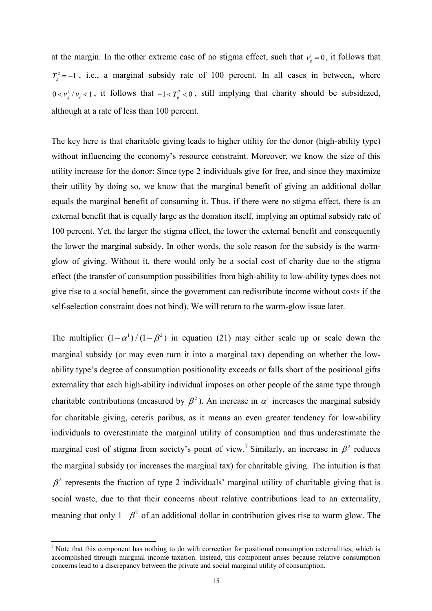at the margin. In the other extreme case of no stigma effect, such that  $v_g^1 = 0$ , it follows that  $T_g^2 = -1$ , i.e., a marginal subsidy rate of 100 percent. In all cases in between, where  $0 < v_g^1/v_c^1 < 1$ , it follows that  $-1 < T_g^2 < 0$ , still implying that charity should be subsidized, although at a rate of less than 100 percent.

The key here is that charitable giving leads to higher utility for the donor (high-ability type) without influencing the economy's resource constraint. Moreover, we know the size of this utility increase for the donor: Since type 2 individuals give for free, and since they maximize their utility by doing so, we know that the marginal benefit of giving an additional dollar equals the marginal benefit of consuming it. Thus, if there were no stigma effect, there is an external benefit that is equally large as the donation itself, implying an optimal subsidy rate of 100 percent. Yet, the larger the stigma effect, the lower the external benefit and consequently the lower the marginal subsidy. In other words, the sole reason for the subsidy is the warmglow of giving. Without it, there would only be a social cost of charity due to the stigma effect (the transfer of consumption possibilities from high-ability to low-ability types does not give rise to a social benefit, since the government can redistribute income without costs if the self-selection constraint does not bind). We will return to the warm-glow issue later.

The multiplier  $(1 - \alpha^1) / (1 - \beta^2)$  in equation (21) may either scale up or scale down the marginal subsidy (or may even turn it into a marginal tax) depending on whether the lowability type's degree of consumption positionality exceeds or falls short of the positional gifts externality that each high-ability individual imposes on other people of the same type through charitable contributions (measured by  $\beta^2$ ). An increase in  $\alpha^1$  increases the marginal subsidy for charitable giving, ceteris paribus, as it means an even greater tendency for low-ability individuals to overestimate the marginal utility of consumption and thus underestimate the marginal cost of stigma from society's point of view.<sup>7</sup> Similarly, an increase in  $\beta^2$  reduces the marginal subsidy (or increases the marginal tax) for charitable giving. The intuition is that  $\beta^2$  represents the fraction of type 2 individuals' marginal utility of charitable giving that is social waste, due to that their concerns about relative contributions lead to an externality, meaning that only  $1-\beta^2$  of an additional dollar in contribution gives rise to warm glow. The

<sup>&</sup>lt;sup>7</sup> Note that this component has nothing to do with correction for positional consumption externalities, which is accomplished through marginal income taxation. Instead, this component arises because relative consumption concerns lead to a discrepancy between the private and social marginal utility of consumption.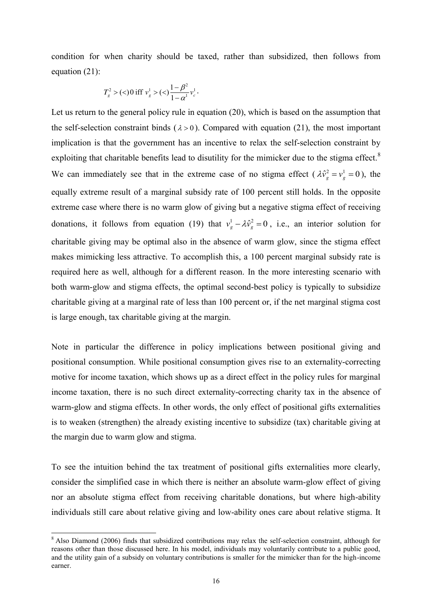condition for when charity should be taxed, rather than subsidized, then follows from equation (21):

$$
T_g^2 > (<0 \text{ iff } v_g^1 > (<)\frac{1-\beta^2}{1-\alpha^1}v_c^1.
$$

Let us return to the general policy rule in equation (20), which is based on the assumption that the self-selection constraint binds ( $\lambda > 0$ ). Compared with equation (21), the most important implication is that the government has an incentive to relax the self-selection constraint by exploiting that charitable benefits lead to disutility for the mimicker due to the stigma effect. $8$ We can immediately see that in the extreme case of no stigma effect  $(\lambda \hat{v}_g^2 = v_g^1 = 0)$ , the equally extreme result of a marginal subsidy rate of 100 percent still holds. In the opposite extreme case where there is no warm glow of giving but a negative stigma effect of receiving donations, it follows from equation (19) that  $v_g^1 - \lambda \hat{v}_g^2 = 0$ , i.e., an interior solution for charitable giving may be optimal also in the absence of warm glow, since the stigma effect makes mimicking less attractive. To accomplish this, a 100 percent marginal subsidy rate is required here as well, although for a different reason. In the more interesting scenario with both warm-glow and stigma effects, the optimal second-best policy is typically to subsidize charitable giving at a marginal rate of less than 100 percent or, if the net marginal stigma cost is large enough, tax charitable giving at the margin.

Note in particular the difference in policy implications between positional giving and positional consumption. While positional consumption gives rise to an externality-correcting motive for income taxation, which shows up as a direct effect in the policy rules for marginal income taxation, there is no such direct externality-correcting charity tax in the absence of warm-glow and stigma effects. In other words, the only effect of positional gifts externalities is to weaken (strengthen) the already existing incentive to subsidize (tax) charitable giving at the margin due to warm glow and stigma.

To see the intuition behind the tax treatment of positional gifts externalities more clearly, consider the simplified case in which there is neither an absolute warm-glow effect of giving nor an absolute stigma effect from receiving charitable donations, but where high-ability individuals still care about relative giving and low-ability ones care about relative stigma. It

<sup>&</sup>lt;sup>8</sup> Also Diamond (2006) finds that subsidized contributions may relax the self-selection constraint, although for reasons other than those discussed here. In his model, individuals may voluntarily contribute to a public good, and the utility gain of a subsidy on voluntary contributions is smaller for the mimicker than for the high-income earner.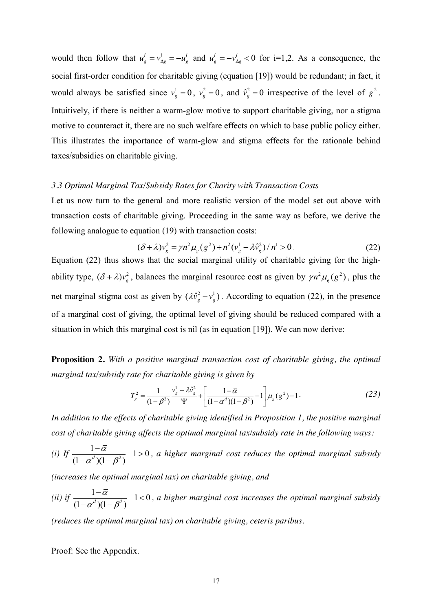would then follow that  $u_g^i = v_{\Delta g}^i = -u_{\overline{g}}^i$  and  $u_{\overline{g}}^i = -v_{\Delta g}^i < 0$  $u_{\overline{g}}^i = -v_{\Delta g}^i < 0$  for i=1,2. As a consequence, the social first-order condition for charitable giving (equation [19]) would be redundant; in fact, it would always be satisfied since  $v_g^1 = 0$ ,  $v_g^2 = 0$ , and  $\hat{v}_g^2 = 0$  irrespective of the level of  $g^2$ . Intuitively, if there is neither a warm-glow motive to support charitable giving, nor a stigma motive to counteract it, there are no such welfare effects on which to base public policy either. This illustrates the importance of warm-glow and stigma effects for the rationale behind taxes/subsidies on charitable giving.

#### *3.3 Optimal Marginal Tax/Subsidy Rates for Charity with Transaction Costs*

Let us now turn to the general and more realistic version of the model set out above with transaction costs of charitable giving. Proceeding in the same way as before, we derive the following analogue to equation (19) with transaction costs:

$$
(\delta + \lambda)v_g^2 = \gamma n^2 \mu_g (g^2) + n^2 (v_g^1 - \lambda \hat{v}_g^2) / n^1 > 0.
$$
 (22)

Equation (22) thus shows that the social marginal utility of charitable giving for the highability type,  $(\delta + \lambda)v_g^2$ , balances the marginal resource cost as given by  $\gamma n^2 \mu_g(g^2)$ , plus the net marginal stigma cost as given by  $(\lambda \hat{v}_g^2 - v_g^1)$ . According to equation (22), in the presence of a marginal cost of giving, the optimal level of giving should be reduced compared with a situation in which this marginal cost is nil (as in equation [19]). We can now derive:

**Proposition 2.** *With a positive marginal transaction cost of charitable giving, the optimal marginal tax/subsidy rate for charitable giving is given by* 

$$
T_g^2 = \frac{1}{(1 - \beta^2)} \frac{v_g^1 - \lambda \hat{v}_g^2}{\Psi} + \left[ \frac{1 - \overline{\alpha}}{(1 - \alpha^d)(1 - \beta^2)} - 1 \right] \mu_g(g^2) - 1.
$$
 (23)

*In addition to the effects of charitable giving identified in Proposition 1, the positive marginal cost of charitable giving affects the optimal marginal tax/subsidy rate in the following ways:* 

(i) If 
$$
\frac{1-\overline{\alpha}}{(1-\alpha^d)(1-\beta^2)}-1>0
$$
, a higher marginal cost reduces the optimal marginal subsidy

*(increases the optimal marginal tax) on charitable giving, and* 

(*ii*) *if*  $\frac{1-\bar{\alpha}}{(1-\alpha^d)(1-\beta^2)} - 1 < 0$  $\alpha$  $\alpha^d$ )(1– $\beta$  $\frac{-\bar{\alpha}}{2}$  - 1  $-\alpha^d$ )(1-*, a higher marginal cost increases the optimal marginal subsidy* 

*(reduces the optimal marginal tax) on charitable giving, ceteris paribus.* 

Proof: See the Appendix.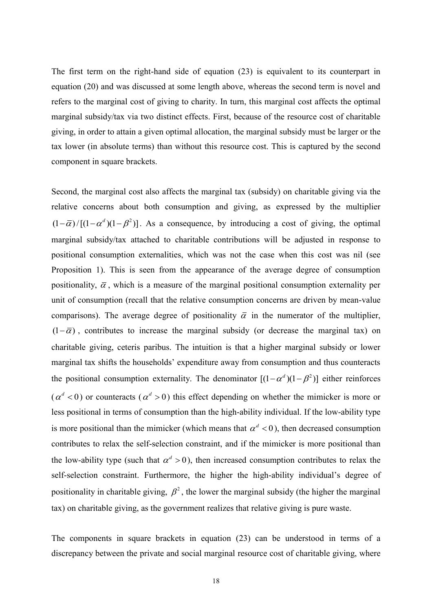The first term on the right-hand side of equation (23) is equivalent to its counterpart in equation (20) and was discussed at some length above, whereas the second term is novel and refers to the marginal cost of giving to charity. In turn, this marginal cost affects the optimal marginal subsidy/tax via two distinct effects. First, because of the resource cost of charitable giving, in order to attain a given optimal allocation, the marginal subsidy must be larger or the tax lower (in absolute terms) than without this resource cost. This is captured by the second component in square brackets.

Second, the marginal cost also affects the marginal tax (subsidy) on charitable giving via the relative concerns about both consumption and giving, as expressed by the multiplier  $(1-\overline{\alpha})/[(1-\alpha^d)(1-\beta^2)]$ . As a consequence, by introducing a cost of giving, the optimal marginal subsidy/tax attached to charitable contributions will be adjusted in response to positional consumption externalities, which was not the case when this cost was nil (see Proposition 1). This is seen from the appearance of the average degree of consumption positionality,  $\bar{\alpha}$ , which is a measure of the marginal positional consumption externality per unit of consumption (recall that the relative consumption concerns are driven by mean-value comparisons). The average degree of positionality  $\overline{\alpha}$  in the numerator of the multiplier,  $(1 - \overline{\alpha})$ , contributes to increase the marginal subsidy (or decrease the marginal tax) on charitable giving, ceteris paribus. The intuition is that a higher marginal subsidy or lower marginal tax shifts the households' expenditure away from consumption and thus counteracts the positional consumption externality. The denominator  $[(1 - \alpha^d)(1 - \beta^2)]$  either reinforces  $(a^d < 0)$  or counteracts  $(a^d > 0)$  this effect depending on whether the mimicker is more or less positional in terms of consumption than the high-ability individual. If the low-ability type is more positional than the mimicker (which means that  $\alpha^d < 0$ ), then decreased consumption contributes to relax the self-selection constraint, and if the mimicker is more positional than the low-ability type (such that  $\alpha^d > 0$ ), then increased consumption contributes to relax the self-selection constraint. Furthermore, the higher the high-ability individual's degree of positionality in charitable giving,  $\beta^2$ , the lower the marginal subsidy (the higher the marginal tax) on charitable giving, as the government realizes that relative giving is pure waste.

The components in square brackets in equation (23) can be understood in terms of a discrepancy between the private and social marginal resource cost of charitable giving, where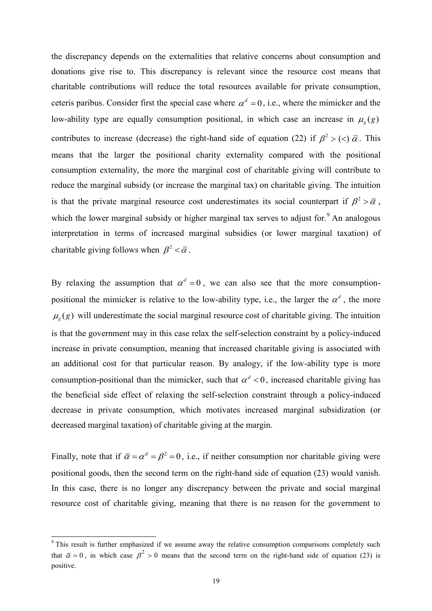the discrepancy depends on the externalities that relative concerns about consumption and donations give rise to. This discrepancy is relevant since the resource cost means that charitable contributions will reduce the total resources available for private consumption, ceteris paribus. Consider first the special case where  $\alpha^d = 0$ , i.e., where the mimicker and the low-ability type are equally consumption positional, in which case an increase in  $\mu_g(g)$ contributes to increase (decrease) the right-hand side of equation (22) if  $\beta^2$  > (<)  $\bar{\alpha}$ . This means that the larger the positional charity externality compared with the positional consumption externality, the more the marginal cost of charitable giving will contribute to reduce the marginal subsidy (or increase the marginal tax) on charitable giving. The intuition is that the private marginal resource cost underestimates its social counterpart if  $\beta^2 > \overline{\alpha}$ , which the lower marginal subsidy or higher marginal tax serves to adjust for.<sup>9</sup> An analogous interpretation in terms of increased marginal subsidies (or lower marginal taxation) of charitable giving follows when  $\beta^2 < \bar{\alpha}$ .

By relaxing the assumption that  $\alpha^d = 0$ , we can also see that the more consumptionpositional the mimicker is relative to the low-ability type, i.e., the larger the  $\alpha^d$ , the more  $\mu_{g}(g)$  will underestimate the social marginal resource cost of charitable giving. The intuition is that the government may in this case relax the self-selection constraint by a policy-induced increase in private consumption, meaning that increased charitable giving is associated with an additional cost for that particular reason. By analogy, if the low-ability type is more consumption-positional than the mimicker, such that  $\alpha^d < 0$ , increased charitable giving has the beneficial side effect of relaxing the self-selection constraint through a policy-induced decrease in private consumption, which motivates increased marginal subsidization (or decreased marginal taxation) of charitable giving at the margin.

Finally, note that if  $\bar{\alpha} = \alpha^d = \beta^2 = 0$ , i.e., if neither consumption nor charitable giving were positional goods, then the second term on the right-hand side of equation (23) would vanish. In this case, there is no longer any discrepancy between the private and social marginal resource cost of charitable giving, meaning that there is no reason for the government to

<sup>&</sup>lt;sup>9</sup> This result is further emphasized if we assume away the relative consumption comparisons completely such that  $\bar{\alpha} = 0$ , in which case  $\beta^2 > 0$  means that the second term on the right-hand side of equation (23) is positive.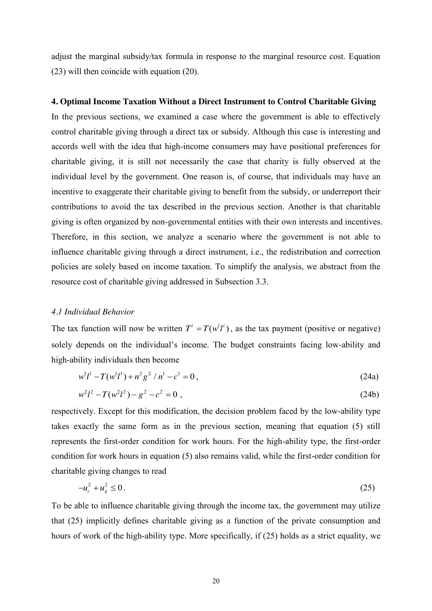adjust the marginal subsidy/tax formula in response to the marginal resource cost. Equation (23) will then coincide with equation (20).

#### **4. Optimal Income Taxation Without a Direct Instrument to Control Charitable Giving**

In the previous sections, we examined a case where the government is able to effectively control charitable giving through a direct tax or subsidy. Although this case is interesting and accords well with the idea that high-income consumers may have positional preferences for charitable giving, it is still not necessarily the case that charity is fully observed at the individual level by the government. One reason is, of course, that individuals may have an incentive to exaggerate their charitable giving to benefit from the subsidy, or underreport their contributions to avoid the tax described in the previous section. Another is that charitable giving is often organized by non-governmental entities with their own interests and incentives. Therefore, in this section, we analyze a scenario where the government is not able to influence charitable giving through a direct instrument, i.e., the redistribution and correction policies are solely based on income taxation. To simplify the analysis, we abstract from the resource cost of charitable giving addressed in Subsection 3.3.

#### *4.1 Individual Behavior*

The tax function will now be written  $T^i = T(w^i l^i)$ , as the tax payment (positive or negative) solely depends on the individual's income. The budget constraints facing low-ability and high-ability individuals then become

$$
w^{1}l^{1} - T(w^{1}l^{1}) + n^{2}g^{2} / n^{1} - c^{1} = 0,
$$
\n(24a)

$$
w^{2}l^{2}-T(w^{2}l^{2})-g^{2}-c^{2}=0,
$$
\t(24b)

respectively. Except for this modification, the decision problem faced by the low-ability type takes exactly the same form as in the previous section, meaning that equation (5) still represents the first-order condition for work hours. For the high-ability type, the first-order condition for work hours in equation (5) also remains valid, while the first-order condition for charitable giving changes to read

$$
-u_c^2 + u_g^2 \le 0 \tag{25}
$$

To be able to influence charitable giving through the income tax, the government may utilize that (25) implicitly defines charitable giving as a function of the private consumption and hours of work of the high-ability type. More specifically, if (25) holds as a strict equality, we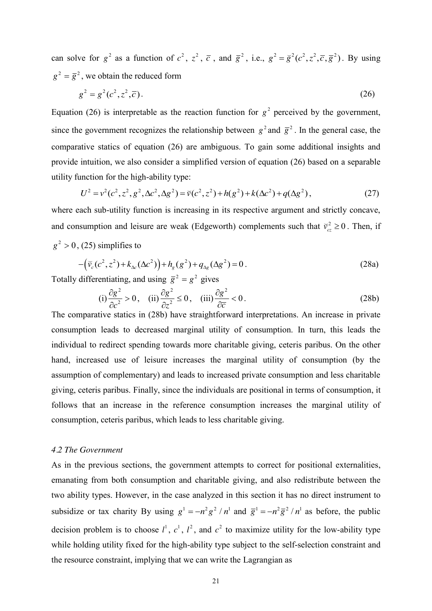can solve for  $g^2$  as a function of  $c^2$ ,  $z^2$ ,  $\overline{c}$ , and  $\overline{g}^2$ , i.e.,  $g^2 = \overline{g}^2(c^2, z^2, \overline{c}, \overline{g}^2)$ . By using  $g^2 = \overline{g}^2$ , we obtain the reduced form

$$
g^2 = g^2(c^2, z^2, \overline{c}).
$$
 (26)

Equation (26) is interpretable as the reaction function for  $g^2$  perceived by the government, since the government recognizes the relationship between  $g^2$  and  $\bar{g}^2$ . In the general case, the comparative statics of equation (26) are ambiguous. To gain some additional insights and provide intuition, we also consider a simplified version of equation (26) based on a separable utility function for the high-ability type:

$$
U^2 = v^2(c^2, z^2, g^2, \Delta c^2, \Delta g^2) = \tilde{v}(c^2, z^2) + h(g^2) + k(\Delta c^2) + q(\Delta g^2),
$$
\n(27)

where each sub-utility function is increasing in its respective argument and strictly concave, and consumption and leisure are weak (Edgeworth) complements such that  $\bar{v}_{cz}^2 \ge 0$ . Then, if  $g^2 > 0$ , (25) simplifies to

$$
-\left(\tilde{v}_c(c^2, z^2) + k_{\Delta c}(\Delta c^2)\right) + h_g(g^2) + q_{\Delta g}(\Delta g^2) = 0.
$$
\n(28a)

Totally differentiating, and using  $\bar{g}^2 = g^2$  gives

(i) 
$$
\frac{\partial g^2}{\partial c^2} > 0
$$
, (ii)  $\frac{\partial g^2}{\partial z^2} \le 0$ , (iii)  $\frac{\partial g^2}{\partial \overline{c}} < 0$ . (28b)

The comparative statics in (28b) have straightforward interpretations. An increase in private consumption leads to decreased marginal utility of consumption. In turn, this leads the individual to redirect spending towards more charitable giving, ceteris paribus. On the other hand, increased use of leisure increases the marginal utility of consumption (by the assumption of complementary) and leads to increased private consumption and less charitable giving, ceteris paribus. Finally, since the individuals are positional in terms of consumption, it follows that an increase in the reference consumption increases the marginal utility of consumption, ceteris paribus, which leads to less charitable giving.

## *4.2 The Government*

As in the previous sections, the government attempts to correct for positional externalities, emanating from both consumption and charitable giving, and also redistribute between the two ability types. However, in the case analyzed in this section it has no direct instrument to subsidize or tax charity By using  $g^1 = -n^2 g^2 / n^1$  and  $\bar{g}^1 = -n^2 \bar{g}^2 / n^1$  as before, the public decision problem is to choose  $l^1$ ,  $c^1$ ,  $l^2$ , and  $c^2$  to maximize utility for the low-ability type while holding utility fixed for the high-ability type subject to the self-selection constraint and the resource constraint, implying that we can write the Lagrangian as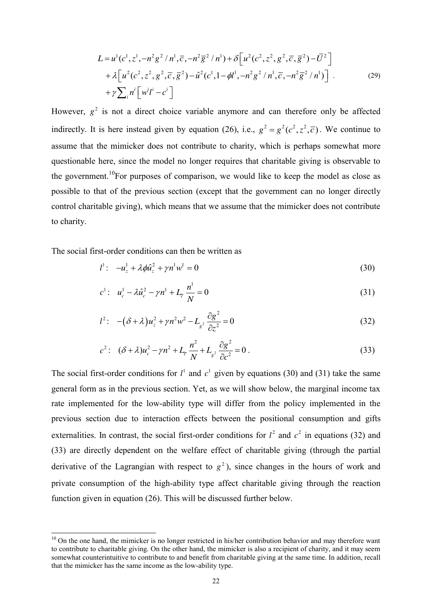$$
L = u^{1}(c^{1}, z^{1}, -n^{2}g^{2}/n^{1}, \overline{c}, -n^{2}\overline{g}^{2}/n^{1}) + \delta[u^{2}(c^{2}, z^{2}, g^{2}, \overline{c}, \overline{g}^{2}) - \overline{U}^{2}]
$$
  
+  $\lambda[u^{2}(c^{2}, z^{2}, g^{2}, \overline{c}, \overline{g}^{2}) - \hat{u}^{2}(c^{1}, 1 - \phi l^{1}, -n^{2}g^{2}/n^{1}, \overline{c}, -n^{2}\overline{g}^{2}/n^{1})] \ .$  (29)  
+  $\gamma \sum_{i} n^{i} [w^{i}l^{i} - c^{i}]$ 

However,  $g^2$  is not a direct choice variable anymore and can therefore only be affected indirectly. It is here instead given by equation (26), i.e.,  $g^2 = g^2(c^2, z^2, \overline{c})$ . We continue to assume that the mimicker does not contribute to charity, which is perhaps somewhat more questionable here, since the model no longer requires that charitable giving is observable to the government.<sup>10</sup>For purposes of comparison, we would like to keep the model as close as possible to that of the previous section (except that the government can no longer directly control charitable giving), which means that we assume that the mimicker does not contribute to charity.

The social first-order conditions can then be written as

j

$$
l^{1}: \t -u_{z}^{1} + \lambda \phi \hat{u}_{z}^{2} + \gamma n^{1} w^{1} = 0 \t (30)
$$

$$
c^{1}: \quad u_{c}^{1} - \lambda \hat{u}_{c}^{2} - \gamma n^{1} + L_{\overline{c}} \frac{n^{1}}{N} = 0 \tag{31}
$$

$$
l^{2}: \quad -(\delta + \lambda)u_{z}^{2} + \gamma n^{2}w^{2} - L_{g^{2}}\frac{\partial g^{2}}{\partial z^{2}} = 0
$$
\n(32)

$$
c^{2}: (\delta + \lambda)u_{c}^{2} - \gamma n^{2} + L_{\overline{c}} \frac{n^{2}}{N} + L_{g^{2}} \frac{\partial g^{2}}{\partial c^{2}} = 0.
$$
 (33)

The social first-order conditions for  $l^1$  and  $c^1$  given by equations (30) and (31) take the same general form as in the previous section. Yet, as we will show below, the marginal income tax rate implemented for the low-ability type will differ from the policy implemented in the previous section due to interaction effects between the positional consumption and gifts externalities. In contrast, the social first-order conditions for  $l^2$  and  $c^2$  in equations (32) and (33) are directly dependent on the welfare effect of charitable giving (through the partial derivative of the Lagrangian with respect to  $g^2$ ), since changes in the hours of work and private consumption of the high-ability type affect charitable giving through the reaction function given in equation (26). This will be discussed further below.

<sup>&</sup>lt;sup>10</sup> On the one hand, the mimicker is no longer restricted in his/her contribution behavior and may therefore want to contribute to charitable giving. On the other hand, the mimicker is also a recipient of charity, and it may seem somewhat counterintuitive to contribute to and benefit from charitable giving at the same time. In addition, recall that the mimicker has the same income as the low-ability type.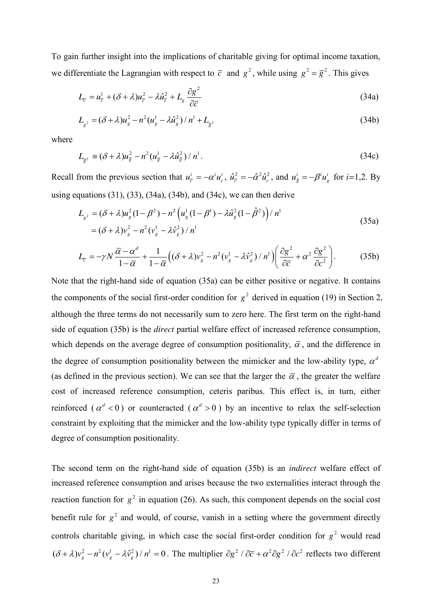To gain further insight into the implications of charitable giving for optimal income taxation, we differentiate the Lagrangian with respect to  $\bar{c}$  and  $g^2$ , while using  $g^2 = \bar{g}^2$ . This gives

$$
L_{\overline{c}} = u_{\overline{c}}^1 + (\delta + \lambda)u_{\overline{c}}^2 - \lambda \hat{u}_{\overline{c}}^2 + L_g \frac{\partial g^2}{\partial \overline{c}}
$$
(34a)

$$
L_{g^2} = (\delta + \lambda)u_g^2 - n^2(u_g^1 - \lambda \hat{u}_g^2)/n^1 + L_{\bar{g}^2}
$$
 (34b)

where

$$
L_{\overline{g}^2} \equiv (\delta + \lambda)u_{\overline{g}}^2 - n^2(u_{\overline{g}}^1 - \lambda \hat{u}_{\overline{g}}^2)/n^1.
$$
 (34c)

Recall from the previous section that  $u_{\overline{c}}^i = -\alpha^i u_c^i$ ,  $\hat{u}_{\overline{c}}^2 = -\hat{\alpha}^2 \hat{u}_c^2$ , and  $u_{\overline{g}}^i = -\beta^i u_g^i$  for  $i=1,2$ . By using equations  $(31)$ ,  $(33)$ ,  $(34a)$ ,  $(34b)$ , and  $(34c)$ , we can then derive

$$
L_{g^2} = (\delta + \lambda)u_g^2(1 - \beta^2) - n^2 \left(u_g^1(1 - \beta^1) - \lambda \hat{u}_g^2(1 - \hat{\beta}^2)\right) / n^1
$$
  
=  $(\delta + \lambda)v_g^2 - n^2(v_g^1 - \lambda \hat{v}_g^2) / n^1$  (35a)

$$
L_{\bar{c}} = -\gamma N \frac{\bar{\alpha} - \alpha^d}{1 - \bar{\alpha}} + \frac{1}{1 - \bar{\alpha}} \Big( (\delta + \lambda) v_g^2 - n^2 (v_g^1 - \lambda \hat{v}_g^2) / n^1 \Big) \Big( \frac{\partial g^2}{\partial \bar{c}} + \alpha^2 \frac{\partial g^2}{\partial c^2} \Big). \tag{35b}
$$

Note that the right-hand side of equation (35a) can be either positive or negative. It contains the components of the social first-order condition for  $g^2$  derived in equation (19) in Section 2, although the three terms do not necessarily sum to zero here. The first term on the right-hand side of equation (35b) is the *direct* partial welfare effect of increased reference consumption, which depends on the average degree of consumption positionality,  $\bar{\alpha}$ , and the difference in the degree of consumption positionality between the mimicker and the low-ability type,  $\alpha^d$ (as defined in the previous section). We can see that the larger the  $\bar{\alpha}$ , the greater the welfare cost of increased reference consumption, ceteris paribus. This effect is, in turn, either reinforced ( $\alpha^d$  < 0) or counteracted ( $\alpha^d$  > 0) by an incentive to relax the self-selection constraint by exploiting that the mimicker and the low-ability type typically differ in terms of degree of consumption positionality.

The second term on the right-hand side of equation (35b) is an *indirect* welfare effect of increased reference consumption and arises because the two externalities interact through the reaction function for  $g^2$  in equation (26). As such, this component depends on the social cost benefit rule for  $g^2$  and would, of course, vanish in a setting where the government directly controls charitable giving, in which case the social first-order condition for  $g^2$  would read  $(\delta + \lambda)v_g^2 - n^2(v_g^1 - \lambda \hat{v}_g^2)/n^1 = 0$ . The multiplier  $\partial g^2 / \partial \overline{c} + \alpha^2 \partial g^2 / \partial c^2$  reflects two different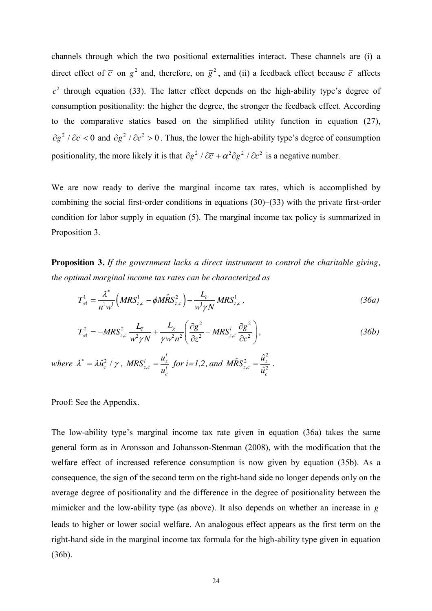channels through which the two positional externalities interact. These channels are (i) a direct effect of  $\bar{c}$  on  $g^2$  and, therefore, on  $\bar{g}^2$ , and (ii) a feedback effect because  $\bar{c}$  affects  $c<sup>2</sup>$  through equation (33). The latter effect depends on the high-ability type's degree of consumption positionality: the higher the degree, the stronger the feedback effect. According to the comparative statics based on the simplified utility function in equation (27),  $\partial g^2 / \partial \overline{c} < 0$  and  $\partial g^2 / \partial c^2 > 0$ . Thus, the lower the high-ability type's degree of consumption positionality, the more likely it is that  $\partial g^2 / \partial \overline{c} + \alpha^2 \partial g^2 / \partial c^2$  is a negative number.

We are now ready to derive the marginal income tax rates, which is accomplished by combining the social first-order conditions in equations (30)–(33) with the private first-order condition for labor supply in equation (5). The marginal income tax policy is summarized in Proposition 3.

**Proposition 3.** *If the government lacks a direct instrument to control the charitable giving, the optimal marginal income tax rates can be characterized as* 

$$
T_{wl}^1 = \frac{\lambda^*}{n^1 w^1} \Big(MRS_{z,c}^1 - \phi M\hat{R}S_{z,c}^2\Big) - \frac{L_z}{w^1 \gamma N} MRS_{z,c}^1\,,\tag{36a}
$$

$$
T_{wl}^2 = -MRS_{z,c}^2 \frac{L_{\overline{c}}}{w^2 \gamma N} + \frac{L_g}{\gamma w^2 n^2} \left( \frac{\partial g^2}{\partial z^2} - MRS_{z,c}^i \frac{\partial g^2}{\partial c^2} \right),
$$
 (36b)

where  $\lambda^* = \lambda \hat{u}_c^2 / \gamma$ ,  $MRS_{z_c}^i$ *i*  $=\frac{u^i_z}{2}$  $z,c = i$ *c*  $MRS_{z,c}^i = \frac{u}{c}$ *u*  $=\frac{a_{z}}{i}$  for  $i=1,2$ , and  $\hat{u}_z^2 = \hat{u}_z^2$  $,c = 2$  $\hat{R}S^2 = \frac{\hat{u}}{\hat{v}}$  $\hat{i}$  $\frac{2}{z,c} = \frac{n_z}{\Lambda^2}$ *c*  $M\hat{R}S_{z,c}^2 = \frac{\hat{u}}{2}$ *u*  $=\frac{u_z}{\Delta^2}$ .

Proof: See the Appendix.

The low-ability type's marginal income tax rate given in equation (36a) takes the same general form as in Aronsson and Johansson-Stenman (2008), with the modification that the welfare effect of increased reference consumption is now given by equation (35b). As a consequence, the sign of the second term on the right-hand side no longer depends only on the average degree of positionality and the difference in the degree of positionality between the mimicker and the low-ability type (as above). It also depends on whether an increase in *g* leads to higher or lower social welfare. An analogous effect appears as the first term on the right-hand side in the marginal income tax formula for the high-ability type given in equation (36b).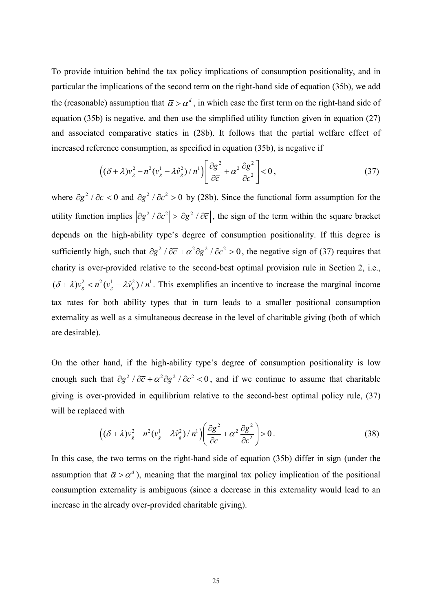To provide intuition behind the tax policy implications of consumption positionality, and in particular the implications of the second term on the right-hand side of equation (35b), we add the (reasonable) assumption that  $\bar{\alpha} > \alpha^d$ , in which case the first term on the right-hand side of equation (35b) is negative, and then use the simplified utility function given in equation (27) and associated comparative statics in (28b). It follows that the partial welfare effect of increased reference consumption, as specified in equation (35b), is negative if

$$
\left( (\delta + \lambda) v_g^2 - n^2 (v_g^1 - \lambda \hat{v}_g^2) / n^1 \right) \left[ \frac{\partial g^2}{\partial \overline{c}} + \alpha^2 \frac{\partial g^2}{\partial c^2} \right] < 0,
$$
\n(37)

where  $\partial g^2 / \partial \overline{c} < 0$  and  $\partial g^2 / \partial c^2 > 0$  by (28b). Since the functional form assumption for the utility function implies  $\left|\partial g^2 / \partial c^2\right| > \left|\partial g^2 / \partial \overline{c}\right|$ , the sign of the term within the square bracket depends on the high-ability type's degree of consumption positionality. If this degree is sufficiently high, such that  $\partial g^2 / \partial \overline{c} + \alpha^2 \partial g^2 / \partial c^2 > 0$ , the negative sign of (37) requires that charity is over-provided relative to the second-best optimal provision rule in Section 2, i.e.,  $(\delta + \lambda) v_g^2 < n^2 (v_g^1 - \lambda \hat{v}_g^2)/n^1$ . This exemplifies an incentive to increase the marginal income tax rates for both ability types that in turn leads to a smaller positional consumption externality as well as a simultaneous decrease in the level of charitable giving (both of which are desirable).

On the other hand, if the high-ability type's degree of consumption positionality is low enough such that  $\partial g^2 / \partial \overline{c} + \alpha^2 \partial g^2 / \partial c^2 < 0$ , and if we continue to assume that charitable giving is over-provided in equilibrium relative to the second-best optimal policy rule, (37) will be replaced with

$$
\left( (\delta + \lambda) v_g^2 - n^2 (v_g^1 - \lambda \hat{v}_g^2) / n^1 \right) \left( \frac{\partial g^2}{\partial \overline{c}} + \alpha^2 \frac{\partial g^2}{\partial c^2} \right) > 0 \,. \tag{38}
$$

In this case, the two terms on the right-hand side of equation (35b) differ in sign (under the assumption that  $\bar{\alpha} > \alpha^d$ ), meaning that the marginal tax policy implication of the positional consumption externality is ambiguous (since a decrease in this externality would lead to an increase in the already over-provided charitable giving).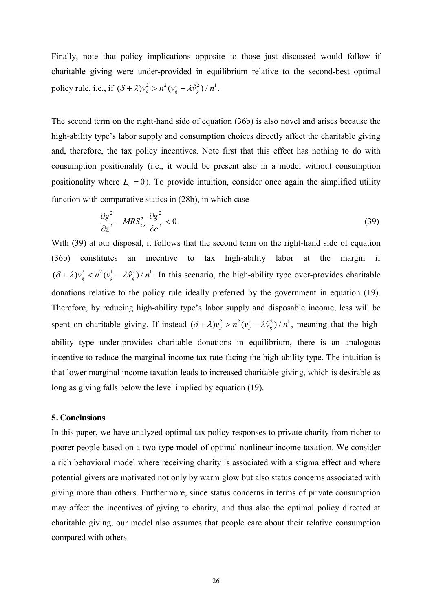Finally, note that policy implications opposite to those just discussed would follow if charitable giving were under-provided in equilibrium relative to the second-best optimal policy rule, i.e., if  $(\delta + \lambda) v_g^2 > n^2 (v_g^1 - \lambda \hat{v}_g^2) / n^1$ .

The second term on the right-hand side of equation (36b) is also novel and arises because the high-ability type's labor supply and consumption choices directly affect the charitable giving and, therefore, the tax policy incentives. Note first that this effect has nothing to do with consumption positionality (i.e., it would be present also in a model without consumption positionality where  $L_{\bar{c}} = 0$ ). To provide intuition, consider once again the simplified utility function with comparative statics in (28b), in which case

$$
\frac{\partial g^2}{\partial z^2} - MRS_{z,c}^2 \frac{\partial g^2}{\partial c^2} < 0. \tag{39}
$$

With (39) at our disposal, it follows that the second term on the right-hand side of equation (36b) constitutes an incentive to tax high-ability labor at the margin if  $(\delta + \lambda) v_g^2 < n^2(v_g^1 - \lambda \hat{v}_g^2)/n^1$ . In this scenario, the high-ability type over-provides charitable donations relative to the policy rule ideally preferred by the government in equation (19). Therefore, by reducing high-ability type's labor supply and disposable income, less will be spent on charitable giving. If instead  $(\delta + \lambda) v_g^2 > n^2 (v_g^1 - \lambda \hat{v}_g^2) / n^1$ , meaning that the highability type under-provides charitable donations in equilibrium, there is an analogous incentive to reduce the marginal income tax rate facing the high-ability type. The intuition is that lower marginal income taxation leads to increased charitable giving, which is desirable as long as giving falls below the level implied by equation (19).

## **5. Conclusions**

In this paper, we have analyzed optimal tax policy responses to private charity from richer to poorer people based on a two-type model of optimal nonlinear income taxation. We consider a rich behavioral model where receiving charity is associated with a stigma effect and where potential givers are motivated not only by warm glow but also status concerns associated with giving more than others. Furthermore, since status concerns in terms of private consumption may affect the incentives of giving to charity, and thus also the optimal policy directed at charitable giving, our model also assumes that people care about their relative consumption compared with others.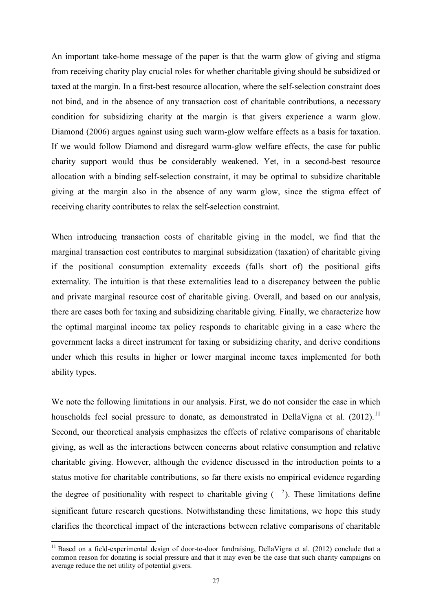An important take-home message of the paper is that the warm glow of giving and stigma from receiving charity play crucial roles for whether charitable giving should be subsidized or taxed at the margin. In a first-best resource allocation, where the self-selection constraint does not bind, and in the absence of any transaction cost of charitable contributions, a necessary condition for subsidizing charity at the margin is that givers experience a warm glow. Diamond (2006) argues against using such warm-glow welfare effects as a basis for taxation. If we would follow Diamond and disregard warm-glow welfare effects, the case for public charity support would thus be considerably weakened. Yet, in a second-best resource allocation with a binding self-selection constraint, it may be optimal to subsidize charitable giving at the margin also in the absence of any warm glow, since the stigma effect of receiving charity contributes to relax the self-selection constraint.

When introducing transaction costs of charitable giving in the model, we find that the marginal transaction cost contributes to marginal subsidization (taxation) of charitable giving if the positional consumption externality exceeds (falls short of) the positional gifts externality. The intuition is that these externalities lead to a discrepancy between the public and private marginal resource cost of charitable giving. Overall, and based on our analysis, there are cases both for taxing and subsidizing charitable giving. Finally, we characterize how the optimal marginal income tax policy responds to charitable giving in a case where the government lacks a direct instrument for taxing or subsidizing charity, and derive conditions under which this results in higher or lower marginal income taxes implemented for both ability types.

We note the following limitations in our analysis. First, we do not consider the case in which households feel social pressure to donate, as demonstrated in DellaVigna et al.  $(2012)$ .<sup>11</sup> Second, our theoretical analysis emphasizes the effects of relative comparisons of charitable giving, as well as the interactions between concerns about relative consumption and relative charitable giving. However, although the evidence discussed in the introduction points to a status motive for charitable contributions, so far there exists no empirical evidence regarding the degree of positionality with respect to charitable giving  $(-2)$ . These limitations define significant future research questions. Notwithstanding these limitations, we hope this study clarifies the theoretical impact of the interactions between relative comparisons of charitable

j

<sup>&</sup>lt;sup>11</sup> Based on a field-experimental design of door-to-door fundraising, DellaVigna et al. (2012) conclude that a common reason for donating is social pressure and that it may even be the case that such charity campaigns on average reduce the net utility of potential givers.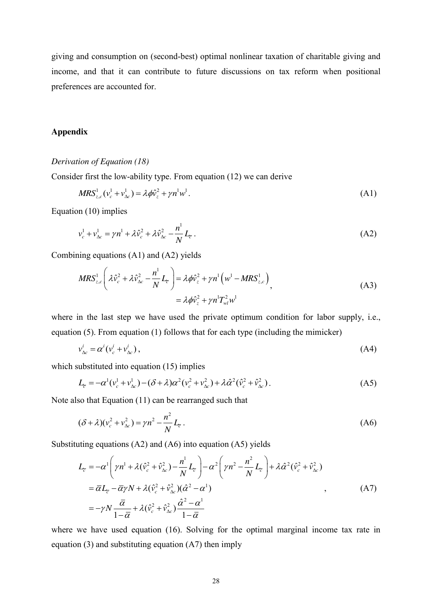giving and consumption on (second-best) optimal nonlinear taxation of charitable giving and income, and that it can contribute to future discussions on tax reform when positional preferences are accounted for.

## **Appendix**

## *Derivation of Equation (18)*

Consider first the low-ability type. From equation (12) we can derive

$$
MRS_{z,c}^1(\mathbf{v}_c^1 + \mathbf{v}_{\Delta c}^1) = \lambda \phi \hat{\mathbf{v}}_z^2 + \gamma n^1 w^1.
$$
 (A1)

Equation (10) implies

$$
v_c^1 + v_{\Delta c}^1 = \gamma n^1 + \lambda \hat{v}_c^2 + \lambda \hat{v}_{\Delta c}^2 - \frac{n^1}{N} L_{\bar{c}}.
$$
 (A2)

Combining equations (A1) and (A2) yields

$$
MRS_{z,c}^{1}\left(\lambda \hat{v}_{c}^{2} + \lambda \hat{v}_{\Delta c}^{2} - \frac{n^{1}}{N}L_{\overline{c}}\right) = \lambda \phi \hat{v}_{z}^{2} + \gamma n^{1} \left(w^{1} - MRS_{z,c}^{1}\right)_{},
$$
\n
$$
= \lambda \phi \hat{v}_{z}^{2} + \gamma n^{1} T_{wl}^{2} w^{1}
$$
\n(A3)

where in the last step we have used the private optimum condition for labor supply, i.e., equation (5). From equation (1) follows that for each type (including the mimicker)

$$
v_{\Delta c}^i = \alpha^i (v_c^i + v_{\Delta c}^i) \,, \tag{A4}
$$

which substituted into equation (15) implies

$$
L_{\bar{c}} = -\alpha^{1}(\nu_{c}^{1} + \nu_{\Delta c}^{1}) - (\delta + \lambda)\alpha^{2}(\nu_{c}^{2} + \nu_{\Delta c}^{2}) + \lambda\hat{\alpha}^{2}(\hat{\nu}_{c}^{2} + \hat{\nu}_{\Delta c}^{2}).
$$
 (A5)

Note also that Equation (11) can be rearranged such that

$$
(\delta + \lambda)(v_c^2 + v_{\alpha c}^2) = \gamma n^2 - \frac{n^2}{N} L_{\bar{c}}.
$$
 (A6)

Substituting equations (A2) and (A6) into equation (A5) yields

$$
L_{\overline{c}} = -\alpha^1 \left( \gamma n^1 + \lambda (\hat{v}_c^2 + \hat{v}_{\Delta c}^2) - \frac{n^1}{N} L_{\overline{c}} \right) - \alpha^2 \left( \gamma n^2 - \frac{n^2}{N} L_{\overline{c}} \right) + \lambda \hat{\alpha}^2 (\hat{v}_c^2 + \hat{v}_{\Delta c}^2)
$$
  
\n
$$
= \overline{\alpha} L_{\overline{c}} - \overline{\alpha} \gamma N + \lambda (\hat{v}_c^2 + \hat{v}_{\Delta c}^2) (\hat{\alpha}^2 - \alpha^1)
$$
  
\n
$$
= -\gamma N \frac{\overline{\alpha}}{1 - \overline{\alpha}} + \lambda (\hat{v}_c^2 + \hat{v}_{\Delta c}^2) \frac{\hat{\alpha}^2 - \alpha^1}{1 - \overline{\alpha}}
$$
 (A7)

where we have used equation (16). Solving for the optimal marginal income tax rate in equation (3) and substituting equation (A7) then imply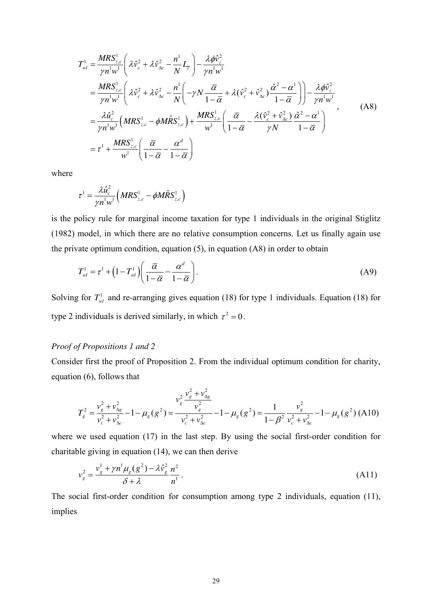$$
T_{wl}^{1} = \frac{MRS_{z,c}^{1}}{\gamma n^{1}w^{1}} \left( \lambda \hat{v}_{c}^{2} + \lambda \hat{v}_{\Delta c}^{2} - \frac{n^{1}}{N} L_{\overline{c}} \right) - \frac{\lambda \phi \hat{v}_{z}^{2}}{\gamma n^{1}w^{1}}
$$
  
\n
$$
= \frac{MRS_{z,c}^{1}}{\gamma n^{1}w^{1}} \left( \lambda \hat{v}_{c}^{2} + \lambda \hat{v}_{\Delta c}^{2} - \frac{n^{1}}{N} \left( -\gamma N \frac{\overline{\alpha}}{1 - \overline{\alpha}} + \lambda (\hat{v}_{c}^{2} + \hat{v}_{\Delta c}^{2}) \frac{\hat{\alpha}^{2} - \alpha^{1}}{1 - \overline{\alpha}} \right) \right) - \frac{\lambda \phi \hat{v}_{z}^{2}}{\gamma n^{1}w^{1}}
$$
  
\n
$$
= \frac{\lambda \hat{u}_{c}^{2}}{\gamma n^{1}w^{1}} \left( MRS_{z,c}^{1} - \phi M \hat{R} S_{z,c}^{1} \right) + \frac{MRS_{z,c}^{1}}{w^{1}} \left( \frac{\overline{\alpha}}{1 - \overline{\alpha}} - \frac{\lambda (\hat{v}_{c}^{2} + \hat{v}_{\Delta c}^{2})}{\gamma N} \frac{\hat{\alpha}^{2} - \alpha^{1}}{1 - \overline{\alpha}} \right)
$$
  
\n
$$
= \tau^{1} + \frac{MRS_{z,c}^{1}}{w^{1}} \left( \frac{\overline{\alpha}}{1 - \overline{\alpha}} - \frac{\alpha^{d}}{1 - \overline{\alpha}} \right)
$$
 (A8)

where

$$
\tau^1 = \frac{\lambda \hat{u}_c^2}{\gamma n^1 w^1} \Big(MRS_{z,c}^1 - \phi M \hat{R} S_{z,c}^1\Big)
$$

is the policy rule for marginal income taxation for type 1 individuals in the original Stiglitz (1982) model, in which there are no relative consumption concerns. Let us finally again use the private optimum condition, equation (5), in equation (A8) in order to obtain

$$
T_{wl}^1 = \tau^1 + \left(1 - T_{wl}^1\right) \left(\frac{\overline{\alpha}}{1 - \overline{\alpha}} - \frac{\alpha^d}{1 - \overline{\alpha}}\right). \tag{A9}
$$

Solving for  $T_w^1$  and re-arranging gives equation (18) for type 1 individuals. Equation (18) for type 2 individuals is derived similarly, in which  $\tau^2 = 0$ .

## *Proof of Propositions 1 and 2*

Consider first the proof of Proposition 2. From the individual optimum condition for charity, equation (6), follows that

$$
T_g^2 = \frac{v_g^2 + v_{\Delta g}^2}{v_c^2 + v_{\Delta c}^2} - 1 - \mu_g(g^2) = \frac{v_g^2}{v_c^2 + v_{\Delta c}^2} - 1 - \mu_g(g^2) = \frac{1}{1 - \beta^2} \frac{v_g^2}{v_c^2 + v_{\Delta c}^2} - 1 - \mu_g(g^2) \text{ (A10)}
$$

where we used equation (17) in the last step. By using the social first-order condition for charitable giving in equation (14), we can then derive

$$
v_g^2 = \frac{v_g^1 + \gamma n^1 \mu_g (g^2) - \lambda \hat{v}_g^2 n^2}{\delta + \lambda} \frac{n^2}{n^1}.
$$
 (A11)

The social first-order condition for consumption among type 2 individuals, equation (11), implies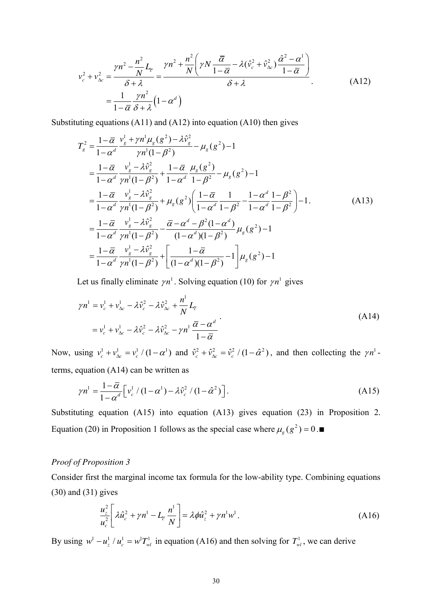$$
v_c^2 + v_{\Delta c}^2 = \frac{\gamma n^2 - \frac{n^2}{N}L_c}{\delta + \lambda} = \frac{\gamma n^2 + \frac{n^2}{N} \left(\gamma N \frac{\overline{\alpha}}{1 - \overline{\alpha}} - \lambda (\hat{v}_c^2 + \hat{v}_{\Delta c}^2) \frac{\hat{\alpha}^2 - \alpha^1}{1 - \overline{\alpha}}\right)}{\delta + \lambda}
$$
\n(A12)\n
$$
= \frac{1}{1 - \overline{\alpha}} \frac{\gamma n^2}{\delta + \lambda} \left(1 - \alpha^d\right)
$$

Substituting equations (A11) and (A12) into equation (A10) then gives

$$
T_{g}^{2} = \frac{1 - \overline{\alpha}}{1 - \alpha^{d}} \frac{v_{g}^{1} + \gamma n^{1} \mu_{g}(g^{2}) - \lambda \hat{v}_{g}^{2}}{\gamma n^{1} (1 - \beta^{2})} - \mu_{g}(g^{2}) - 1
$$
  
\n
$$
= \frac{1 - \overline{\alpha}}{1 - \alpha^{d}} \frac{v_{g}^{1} - \lambda \hat{v}_{g}^{2}}{\gamma n^{1} (1 - \beta^{2})} + \frac{1 - \overline{\alpha}}{1 - \alpha^{d}} \frac{\mu_{g}(g^{2})}{1 - \beta^{2}} - \mu_{g}(g^{2}) - 1
$$
  
\n
$$
= \frac{1 - \overline{\alpha}}{1 - \alpha^{d}} \frac{v_{g}^{1} - \lambda \hat{v}_{g}^{2}}{\gamma n^{1} (1 - \beta^{2})} + \mu_{g}(g^{2}) \left( \frac{1 - \overline{\alpha}}{1 - \alpha^{d}} \frac{1}{1 - \beta^{2}} - \frac{1 - \alpha^{d}}{1 - \alpha^{d}} \frac{1 - \beta^{2}}{1 - \beta^{2}} \right) - 1.
$$
  
\n
$$
= \frac{1 - \overline{\alpha}}{1 - \alpha^{d}} \frac{v_{g}^{1} - \lambda \hat{v}_{g}^{2}}{\gamma n^{1} (1 - \beta^{2})} - \frac{\overline{\alpha} - \alpha^{d} - \beta^{2} (1 - \alpha^{d})}{(1 - \alpha^{d}) (1 - \beta^{2})} \mu_{g}(g^{2}) - 1
$$
  
\n
$$
= \frac{1 - \overline{\alpha}}{1 - \alpha^{d}} \frac{v_{g}^{1} - \lambda \hat{v}_{g}^{2}}{\gamma n^{1} (1 - \beta^{2})} + \left[ \frac{1 - \overline{\alpha}}{(1 - \alpha^{d}) (1 - \beta^{2})} - 1 \right] \mu_{g}(g^{2}) - 1
$$
  
\n
$$
= \frac{1 - \overline{\alpha}}{1 - \alpha^{d}} \frac{v_{g}^{1} - \lambda \hat{v}_{g}^{2}}{\gamma n^{1} (1 - \beta^{2})} + \left[ \frac{1 - \overline{\alpha}}{(1 - \alpha^{d}) (1 - \beta^{2})} - 1 \right] \mu_{g}(g^{2}) - 1
$$

Let us finally eliminate  $\gamma n^{\perp}$ . Solving equation (10) for  $\gamma n^{\perp}$  gives

$$
\gamma n^1 = v_c^1 + v_{\Delta c}^1 - \lambda \hat{v}_c^2 - \lambda \hat{v}_{\Delta c}^2 + \frac{n^1}{N} L_{\overline{c}}
$$
  
=  $v_c^1 + v_{\Delta c}^1 - \lambda \hat{v}_c^2 - \lambda \hat{v}_{\Delta c}^2 - \gamma n^1 \frac{\overline{\alpha} - \alpha^d}{1 - \overline{\alpha}}$  (A14)

Now, using  $v_c^1 + v_{\alpha c}^1 = v_c^1 / (1 - \alpha^1)$  and  $\hat{v}_c^2 + \hat{v}_{\alpha c}^2 = \hat{v}_c^2 / (1 - \hat{\alpha}^2)$ , and then collecting the  $\gamma n^1$ terms, equation (A14) can be written as

$$
\gamma n^1 = \frac{1-\overline{\alpha}}{1-\alpha^d} \Big[ \nu_c^1 / (1-\alpha^1) - \lambda \hat{\nu}_c^2 / (1-\hat{\alpha}^2) \Big].
$$
 (A15)

Substituting equation (A15) into equation (A13) gives equation (23) in Proposition 2. Equation (20) in Proposition 1 follows as the special case where  $\mu_g(g^2) = 0$ .■

## *Proof of Proposition 3*

Consider first the marginal income tax formula for the low-ability type. Combining equations (30) and (31) gives

$$
\frac{u_z^2}{u_c^2} \left[ \lambda \hat{u}_c^2 + \gamma n^1 - L_{\overline{c}} \frac{n^1}{N} \right] = \lambda \phi \hat{u}_z^2 + \gamma n^1 w^1.
$$
 (A16)

By using  $w^1 - u_z^1 / u_c^1 = w^1 T_w^1$  in equation (A16) and then solving for  $T_w^1$ , we can derive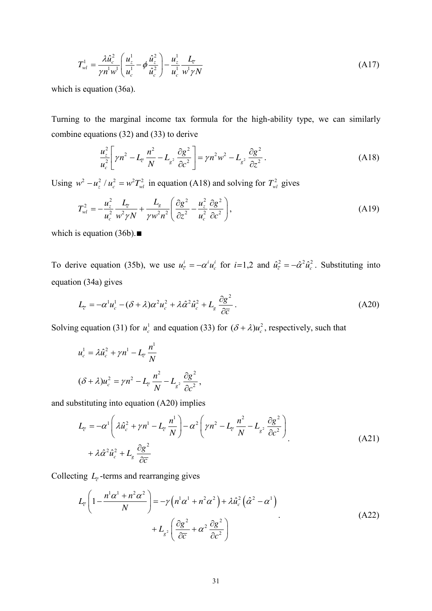$$
T_{wl}^1 = \frac{\lambda \hat{u}_c^2}{\gamma n^1 w^1} \left( \frac{u_z^1}{u_c^1} - \phi \frac{\hat{u}_z^2}{\hat{u}_c^2} \right) - \frac{u_z^1}{u_c^1} \frac{L_{\overline{c}}}{w^1 \gamma N}
$$
(A17)

which is equation (36a).

Turning to the marginal income tax formula for the high-ability type, we can similarly combine equations (32) and (33) to derive

$$
\frac{u_z^2}{u_c^2} \left[ \gamma n^2 - L_{\overline{c}} \frac{n^2}{N} - L_{g^2} \frac{\partial g^2}{\partial c^2} \right] = \gamma n^2 w^2 - L_{g^2} \frac{\partial g^2}{\partial z^2}.
$$
 (A18)

Using  $w^2 - u_z^2 / u_c^2 = w^2 T_w^2$  in equation (A18) and solving for  $T_w^2$  gives

$$
T_{wl}^2 = -\frac{u_z^2}{u_c^2} \frac{L_{\overline{c}}}{w^2 \gamma N} + \frac{L_g}{\gamma w^2 n^2} \left( \frac{\partial g^2}{\partial z^2} - \frac{u_z^2}{u_c^2} \frac{\partial g^2}{\partial c^2} \right),\tag{A19}
$$

which is equation (36b).∎

To derive equation (35b), we use  $u_{\overline{c}}^i = -\alpha^i u_c^i$  for  $i=1,2$  and  $\hat{u}_{\overline{c}}^2 = -\hat{\alpha}^2 \hat{u}_c^2$ . Substituting into equation (34a) gives

$$
L_{\overline{c}} = -\alpha^1 u_c^1 - (\delta + \lambda)\alpha^2 u_c^2 + \lambda \hat{\alpha}^2 \hat{u}_c^2 + L_g \frac{\partial g^2}{\partial \overline{c}}.
$$
 (A20)

Solving equation (31) for  $u_c^1$  and equation (33) for  $(\delta + \lambda)u_c^2$ , respectively, such that

$$
u_c^1 = \lambda \hat{u}_c^2 + \gamma n^1 - L_{\bar{c}} \frac{n^1}{N}
$$
  

$$
(\delta + \lambda)u_c^2 = \gamma n^2 - L_{\bar{c}} \frac{n^2}{N} - L_{g^2} \frac{\partial g^2}{\partial c^2},
$$

and substituting into equation (A20) implies

$$
L_{\overline{c}} = -\alpha^1 \left( \lambda \hat{u}_c^2 + \gamma n^1 - L_{\overline{c}} \frac{n^1}{N} \right) - \alpha^2 \left( \gamma n^2 - L_{\overline{c}} \frac{n^2}{N} - L_{g^2} \frac{\partial g^2}{\partial c^2} \right)
$$
  
+  $\lambda \hat{\alpha}^2 \hat{u}_c^2 + L_g \frac{\partial g^2}{\partial \overline{c}}$  (A21)

Collecting  $L_{\bar{c}}$ -terms and rearranging gives

$$
L_{\bar{c}}\left(1-\frac{n^1\alpha^1+n^2\alpha^2}{N}\right) = -\gamma\left(n^1\alpha^1+n^2\alpha^2\right) + \lambda\hat{u}_c^2\left(\hat{\alpha}^2-\alpha^1\right) + L_{g^2}\left(\frac{\partial g^2}{\partial \bar{c}}+\alpha^2\frac{\partial g^2}{\partial c^2}\right)
$$
(A22)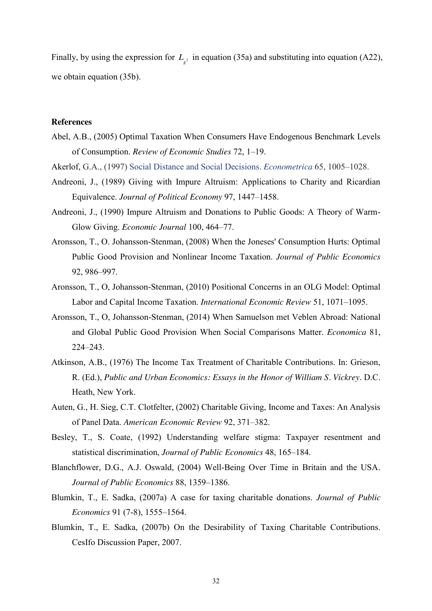Finally, by using the expression for  $L_{g^2}$  in equation (35a) and substituting into equation (A22), we obtain equation (35b).

#### **References**

- Abel, A.B., (2005) Optimal Taxation When Consumers Have Endogenous Benchmark Levels of Consumption. *Review of Economic Studies* 72, 1–19.
- Akerlof, G.A., (1997) Social Distance and Social Decisions. *Econometrica* 65, 1005–1028.
- Andreoni, J., (1989) Giving with Impure Altruism: Applications to Charity and Ricardian Equivalence. *Journal of Political Economy* 97, 1447–1458.
- Andreoni, J., (1990) Impure Altruism and Donations to Public Goods: A Theory of Warm-Glow Giving. *Economic Journal* 100, 464–77.
- Aronsson, T., O. Johansson-Stenman, (2008) When the Joneses' Consumption Hurts: Optimal Public Good Provision and Nonlinear Income Taxation. *Journal of Public Economics* 92, 986–997.
- Aronsson, T., O, Johansson-Stenman, (2010) Positional Concerns in an OLG Model: Optimal Labor and Capital Income Taxation. *International Economic Review* 51, 1071–1095.
- Aronsson, T., O, Johansson-Stenman, (2014) When Samuelson met Veblen Abroad: National and Global Public Good Provision When Social Comparisons Matter. *Economica* 81, 224–243.
- Atkinson, A.B., (1976) The Income Tax Treatment of Charitable Contributions. In: Grieson, R. (Ed.), *Public and Urban Economics: Essays in the Honor of William S. Vickrey*. D.C. Heath, New York.
- Auten, G., H. Sieg, C.T. Clotfelter, (2002) Charitable Giving, Income and Taxes: An Analysis of Panel Data. *American Economic Review* 92, 371–382.
- Besley, T., S. Coate, (1992) Understanding welfare stigma: Taxpayer resentment and statistical discrimination, *Journal of Public Economics* 48, 165–184.
- Blanchflower, D.G., A.J. Oswald, (2004) Well-Being Over Time in Britain and the USA. *Journal of Public Economics* 88, 1359–1386.
- Blumkin, T., E. Sadka, (2007a) A case for taxing charitable donations. *Journal of Public Economics* 91 (7-8), 1555–1564.
- Blumkin, T., E. Sadka, (2007b) On the Desirability of Taxing Charitable Contributions. CesIfo Discussion Paper, 2007.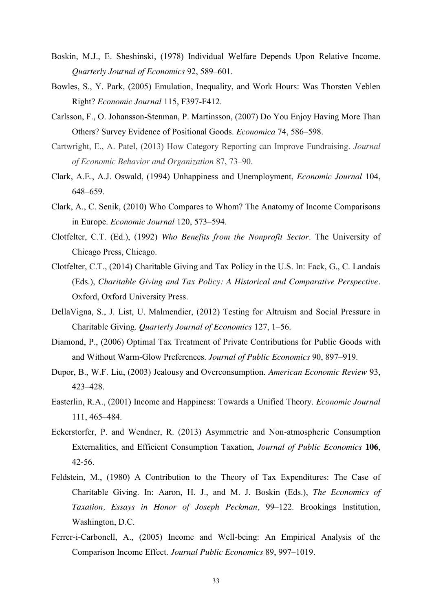- Boskin, M.J., E. Sheshinski, (1978) Individual Welfare Depends Upon Relative Income. *Quarterly Journal of Economics* 92, 589–601.
- Bowles, S., Y. Park, (2005) Emulation, Inequality, and Work Hours: Was Thorsten Veblen Right? *Economic Journal* 115, F397-F412.
- Carlsson, F., O. Johansson-Stenman, P. Martinsson, (2007) Do You Enjoy Having More Than Others? Survey Evidence of Positional Goods. *Economica* 74, 586–598.
- Cartwright, E., A. Patel, (2013) How Category Reporting can Improve Fundraising. *Journal of Economic Behavior and Organization* 87, 73–90.
- Clark, A.E., A.J. Oswald, (1994) Unhappiness and Unemployment, *Economic Journal* 104, 648–659.
- Clark, A., C. Senik, (2010) Who Compares to Whom? The Anatomy of Income Comparisons in Europe. *Economic Journal* 120, 573–594.
- Clotfelter, C.T. (Ed.), (1992) *Who Benefits from the Nonprofit Sector*. The University of Chicago Press, Chicago.
- Clotfelter, C.T., (2014) Charitable Giving and Tax Policy in the U.S. In: Fack, G., C. Landais (Eds.), *Charitable Giving and Tax Policy: A Historical and Comparative Perspective*. Oxford, Oxford University Press.
- DellaVigna, S., J. List, U. Malmendier, (2012) Testing for Altruism and Social Pressure in Charitable Giving. *Quarterly Journal of Economics* 127, 1–56.
- Diamond, P., (2006) Optimal Tax Treatment of Private Contributions for Public Goods with and Without Warm-Glow Preferences. *Journal of Public Economics* 90, 897–919.
- Dupor, B., W.F. Liu, (2003) Jealousy and Overconsumption. *American Economic Review* 93, 423–428.
- Easterlin, R.A., (2001) Income and Happiness: Towards a Unified Theory. *Economic Journal* 111, 465–484.
- Eckerstorfer, P. and Wendner, R. (2013) Asymmetric and Non-atmospheric Consumption Externalities, and Efficient Consumption Taxation, *Journal of Public Economics* **106**, 42-56.
- Feldstein, M., (1980) A Contribution to the Theory of Tax Expenditures: The Case of Charitable Giving. In: Aaron, H. J., and M. J. Boskin (Eds.), *The Economics of Taxation, Essays in Honor of Joseph Peckman*, 99–122. Brookings Institution, Washington, D.C.
- Ferrer-i-Carbonell, A., (2005) Income and Well-being: An Empirical Analysis of the Comparison Income Effect. *Journal Public Economics* 89, 997–1019.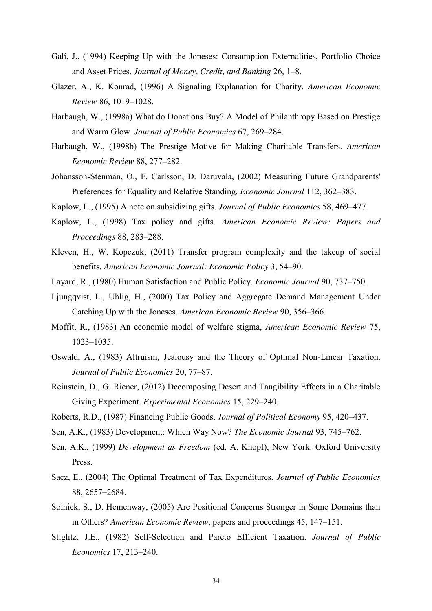- Galí, J., (1994) Keeping Up with the Joneses: Consumption Externalities, Portfolio Choice and Asset Prices. *Journal of Money, Credit, and Banking* 26, 1–8.
- Glazer, A., K. Konrad, (1996) A Signaling Explanation for Charity. *American Economic Review* 86, 1019–1028.
- Harbaugh, W., (1998a) What do Donations Buy? A Model of Philanthropy Based on Prestige and Warm Glow. *Journal of Public Economics* 67, 269–284.
- Harbaugh, W., (1998b) The Prestige Motive for Making Charitable Transfers. *American Economic Review* 88, 277–282.
- Johansson-Stenman, O., F. Carlsson, D. Daruvala, (2002) Measuring Future Grandparents' Preferences for Equality and Relative Standing. *Economic Journal* 112, 362–383.
- Kaplow, L., (1995) A note on subsidizing gifts. *Journal of Public Economics* 58, 469–477.
- Kaplow, L., (1998) Tax policy and gifts. *American Economic Review: Papers and Proceedings* 88, 283–288.
- Kleven, H., W. Kopczuk, (2011) Transfer program complexity and the takeup of social benefits. *American Economic Journal: Economic Policy* 3, 54–90.
- Layard, R., (1980) Human Satisfaction and Public Policy. *Economic Journal* 90, 737–750.
- Ljungqvist, L., Uhlig, H., (2000) Tax Policy and Aggregate Demand Management Under Catching Up with the Joneses. *American Economic Review* 90, 356–366.
- Moffit, R., (1983) An economic model of welfare stigma, *American Economic Review* 75, 1023–1035.
- Oswald, A., (1983) Altruism, Jealousy and the Theory of Optimal Non-Linear Taxation. *Journal of Public Economics* 20, 77–87.
- Reinstein, D., G. Riener, (2012) Decomposing Desert and Tangibility Effects in a Charitable Giving Experiment. *Experimental Economics* 15, 229–240.
- Roberts, R.D., (1987) Financing Public Goods. *Journal of Political Economy* 95, 420–437.
- Sen, A.K., (1983) Development: Which Way Now? *The Economic Journal* 93, 745–762.
- Sen, A.K., (1999) *Development as Freedom* (ed. A. Knopf), New York: Oxford University Press.
- Saez, E., (2004) The Optimal Treatment of Tax Expenditures. *Journal of Public Economics* 88, 2657–2684.
- Solnick, S., D. Hemenway, (2005) Are Positional Concerns Stronger in Some Domains than in Others? *American Economic Review*, papers and proceedings 45, 147–151.
- Stiglitz, J.E., (1982) Self-Selection and Pareto Efficient Taxation. *Journal of Public Economics* 17, 213–240.